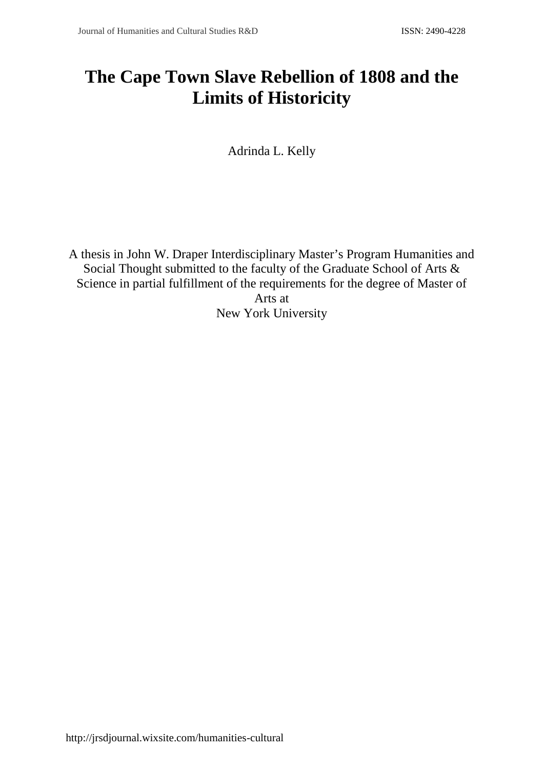# **The Cape Town Slave Rebellion of 1808 and the Limits of Historicity**

Adrinda L. Kelly

A thesis in John W. Draper Interdisciplinary Master's Program Humanities and Social Thought submitted to the faculty of the Graduate School of Arts & Science in partial fulfillment of the requirements for the degree of Master of Arts at New York University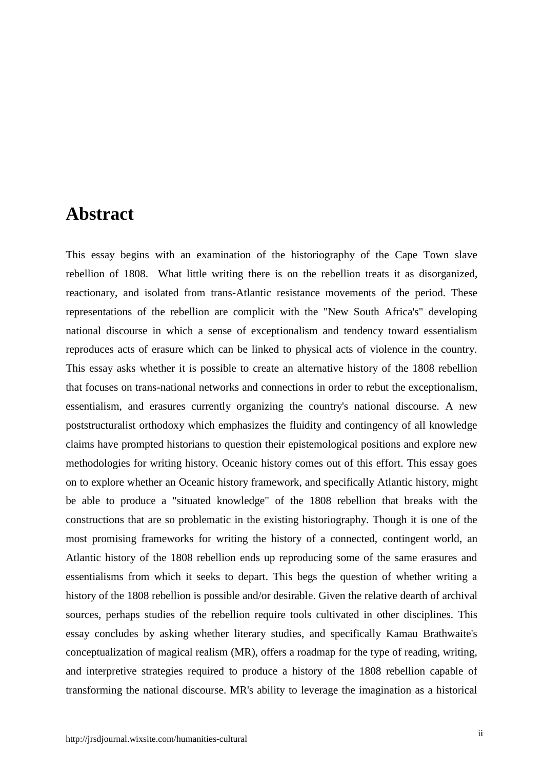### **Abstract**

This essay begins with an examination of the historiography of the Cape Town slave rebellion of 1808. What little writing there is on the rebellion treats it as disorganized, reactionary, and isolated from trans-Atlantic resistance movements of the period. These representations of the rebellion are complicit with the "New South Africa's" developing national discourse in which a sense of exceptionalism and tendency toward essentialism reproduces acts of erasure which can be linked to physical acts of violence in the country. This essay asks whether it is possible to create an alternative history of the 1808 rebellion that focuses on trans-national networks and connections in order to rebut the exceptionalism, essentialism, and erasures currently organizing the country's national discourse. A new poststructuralist orthodoxy which emphasizes the fluidity and contingency of all knowledge claims have prompted historians to question their epistemological positions and explore new methodologies for writing history. Oceanic history comes out of this effort. This essay goes on to explore whether an Oceanic history framework, and specifically Atlantic history, might be able to produce a "situated knowledge" of the 1808 rebellion that breaks with the constructions that are so problematic in the existing historiography. Though it is one of the most promising frameworks for writing the history of a connected, contingent world, an Atlantic history of the 1808 rebellion ends up reproducing some of the same erasures and essentialisms from which it seeks to depart. This begs the question of whether writing a history of the 1808 rebellion is possible and/or desirable. Given the relative dearth of archival sources, perhaps studies of the rebellion require tools cultivated in other disciplines. This essay concludes by asking whether literary studies, and specifically Kamau Brathwaite's conceptualization of magical realism (MR), offers a roadmap for the type of reading, writing, and interpretive strategies required to produce a history of the 1808 rebellion capable of transforming the national discourse. MR's ability to leverage the imagination as a historical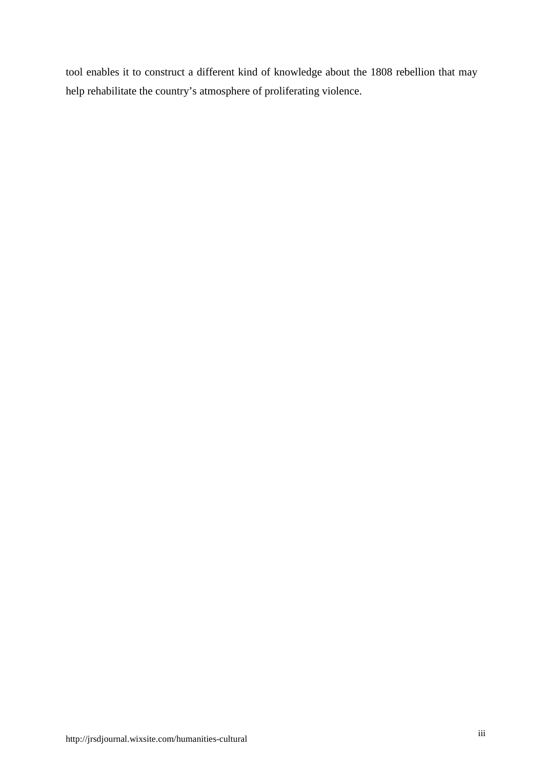tool enables it to construct a different kind of knowledge about the 1808 rebellion that may help rehabilitate the country's atmosphere of proliferating violence.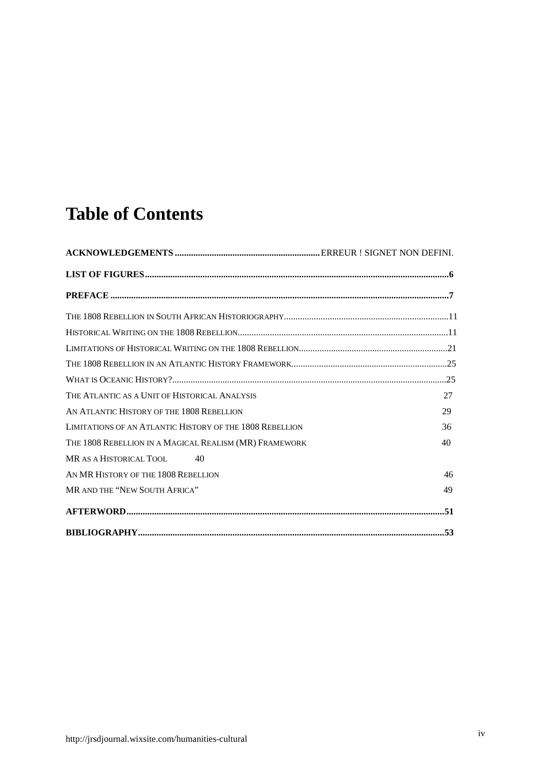# **Table of Contents**

| THE ATLANTIC AS A UNIT OF HISTORICAL ANALYSIS            | 27 |
|----------------------------------------------------------|----|
| AN ATLANTIC HISTORY OF THE 1808 REBELLION                | 29 |
| LIMITATIONS OF AN ATLANTIC HISTORY OF THE 1808 REBELLION | 36 |
| THE 1808 REBELLION IN A MAGICAL REALISM (MR) FRAMEWORK   | 40 |
| MR AS A HISTORICAL TOOL<br>40                            |    |
| AN MR HISTORY OF THE 1808 REBELLION                      | 46 |
| MR AND THE "NEW SOUTH AFRICA"                            | 49 |
|                                                          |    |
|                                                          |    |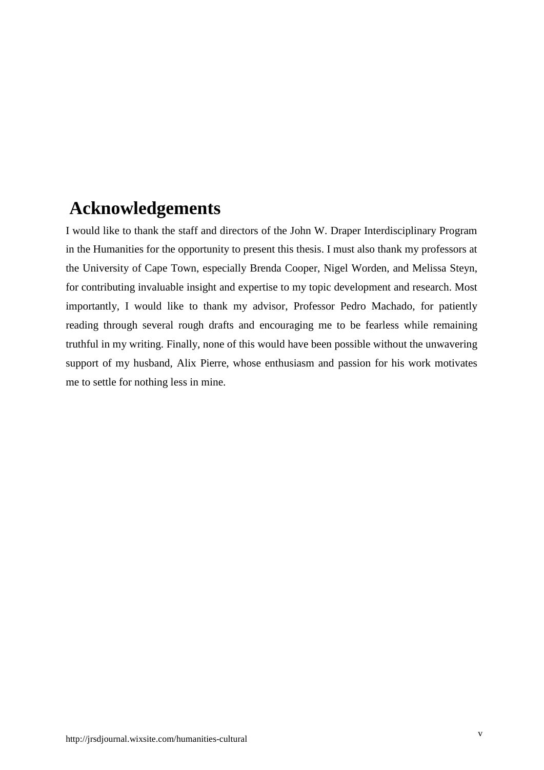# **Acknowledgements**

I would like to thank the staff and directors of the John W. Draper Interdisciplinary Program in the Humanities for the opportunity to present this thesis. I must also thank my professors at the University of Cape Town, especially Brenda Cooper, Nigel Worden, and Melissa Steyn, for contributing invaluable insight and expertise to my topic development and research. Most importantly, I would like to thank my advisor, Professor Pedro Machado, for patiently reading through several rough drafts and encouraging me to be fearless while remaining truthful in my writing. Finally, none of this would have been possible without the unwavering support of my husband, Alix Pierre, whose enthusiasm and passion for his work motivates me to settle for nothing less in mine.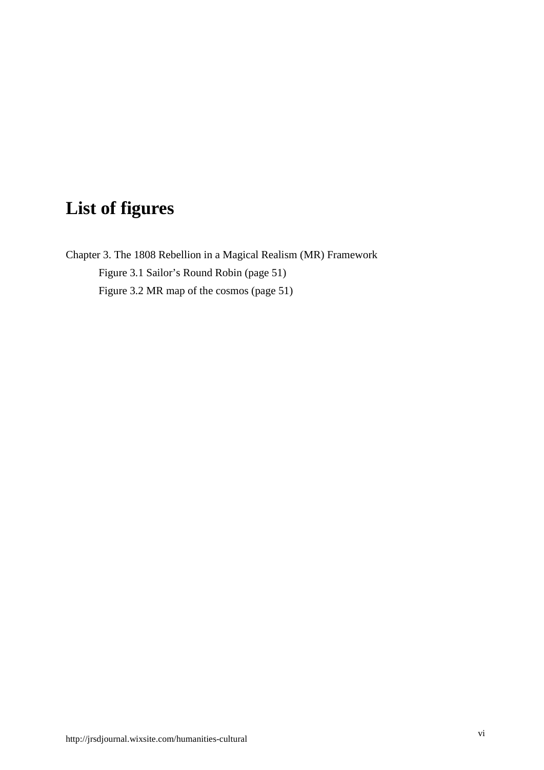# **List of figures**

Chapter 3. The 1808 Rebellion in a Magical Realism (MR) Framework Figure 3.1 Sailor's Round Robin (page 51) Figure 3.2 MR map of the cosmos (page 51)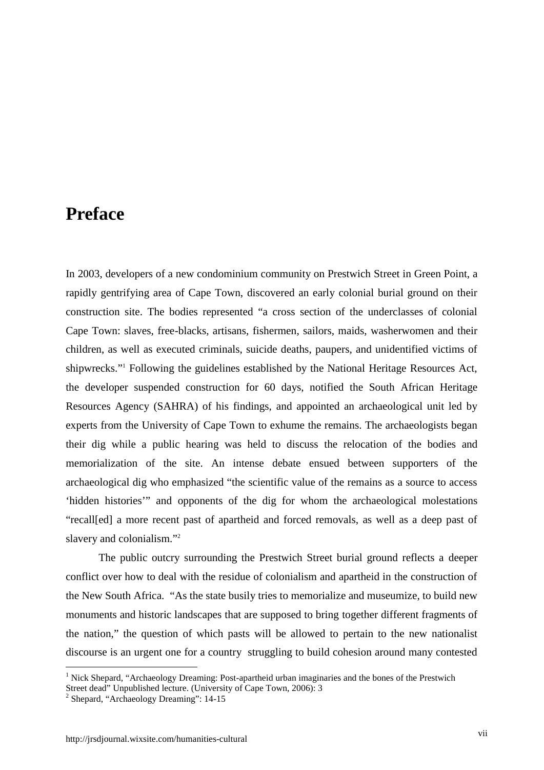## **Preface**

In 2003, developers of a new condominium community on Prestwich Street in Green Point, a rapidly gentrifying area of Cape Town, discovered an early colonial burial ground on their construction site. The bodies represented "a cross section of the underclasses of colonial Cape Town: slaves, free-blacks, artisans, fishermen, sailors, maids, washerwomen and their children, as well as executed criminals, suicide deaths, paupers, and unidentified victims of shipwrecks."<sup>1</sup> Following the guidelines established by the National Heritage Resources Act, the developer suspended construction for 60 days, notified the South African Heritage Resources Agency (SAHRA) of his findings, and appointed an archaeological unit led by experts from the University of Cape Town to exhume the remains. The archaeologists began their dig while a public hearing was held to discuss the relocation of the bodies and memorialization of the site. An intense debate ensued between supporters of the archaeological dig who emphasized "the scientific value of the remains as a source to access 'hidden histories'" and opponents of the dig for whom the archaeological molestations "recall[ed] a more recent past of apartheid and forced removals, as well as a deep past of slavery and colonialism."<sup>2</sup>

The public outcry surrounding the Prestwich Street burial ground reflects a deeper conflict over how to deal with the residue of colonialism and apartheid in the construction of the New South Africa. "As the state busily tries to memorialize and museumize, to build new monuments and historic landscapes that are supposed to bring together different fragments of the nation," the question of which pasts will be allowed to pertain to the new nationalist discourse is an urgent one for a country struggling to build cohesion around many contested

<sup>&</sup>lt;sup>1</sup> Nick Shepard, "Archaeology Dreaming: Post-apartheid urban imaginaries and the bones of the Prestwich

Street dead" Unpublished lecture. (University of Cape Town, 2006): 3

<sup>2</sup> Shepard, "Archaeology Dreaming": 14-15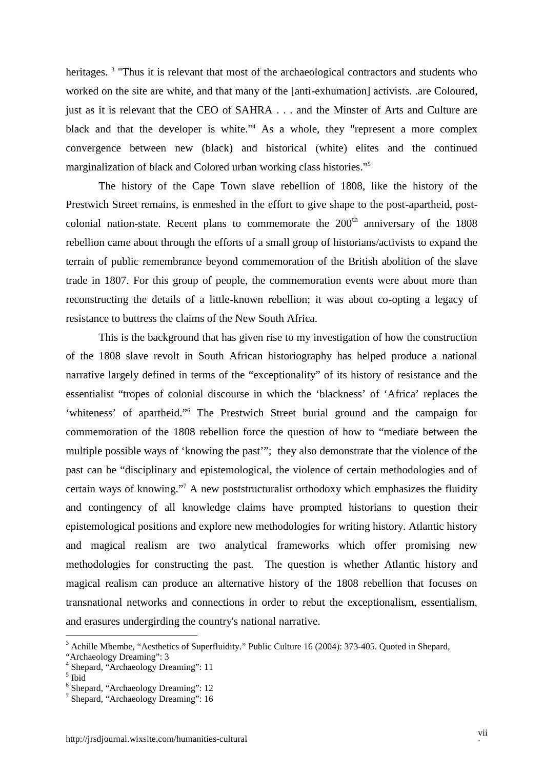heritages.<sup>3</sup> "Thus it is relevant that most of the archaeological contractors and students who worked on the site are white, and that many of the [anti-exhumation] activists. .are Coloured, just as it is relevant that the CEO of SAHRA . . . and the Minster of Arts and Culture are black and that the developer is white."<sup>4</sup> As a whole, they "represent a more complex convergence between new (black) and historical (white) elites and the continued marginalization of black and Colored urban working class histories."<sup>5</sup>

The history of the Cape Town slave rebellion of 1808, like the history of the Prestwich Street remains, is enmeshed in the effort to give shape to the post-apartheid, post colonial nation-state. Recent plans to commemorate the  $200<sup>th</sup>$  anniversary of the 1808 rebellion came about through the efforts of a small group of historians/activists to expand the terrain of public remembrance beyond commemoration of the British abolition of the slave trade in 1807. For this group of people, the commemoration events were about more than reconstructing the details of a little-known rebellion; it was about co-opting a legacy of resistance to buttress the claims of the New South Africa.

This is the background that has given rise to my investigation of how the construction of the 1808 slave revolt in South African historiography has helped produce a national narrative largely defined in terms of the "exceptionality" of its history of resistance and the essentialist "tropes of colonial discourse in which the 'blackness' of 'Africa' replaces the 'whiteness' of apartheid."<sup>6</sup> The Prestwich Street burial ground and the campaign for commemoration of the 1808 rebellion force the question of how to "mediate between the multiple possible ways of 'knowing the past'"; they also demonstrate that the violence of the past can be "disciplinary and epistemological, the violence of certain methodologies and of certain ways of knowing."<sup>7</sup> A new poststructuralist orthodoxy which emphasizes the fluidity and contingency of all knowledge claims have prompted historians to question their epistemological positions and explore new methodologies for writing history. Atlantic history and magical realism are two analytical frameworks which offer promising new methodologies for constructing the past. The question is whether Atlantic history and magical realism can produce an alternative history of the 1808 rebellion that focuses on transnational networks and connections in order to rebut the exceptionalism, essentialism, and erasures undergirding the country's national narrative.

<sup>&</sup>lt;sup>3</sup> Achille Mbembe, "Aesthetics of Superfluidity." Public Culture 16 (2004): 373-405. Ouoted in Shepard,

<sup>&</sup>quot;Archaeology Dreaming": 3

<sup>&</sup>lt;sup>4</sup> Shepard, "Archaeology Dreaming": 11

 $^{\rm 5}$  Ibid

<sup>6</sup> Shepard, "Archaeology Dreaming": 12

<sup>7</sup> Shepard, "Archaeology Dreaming": 16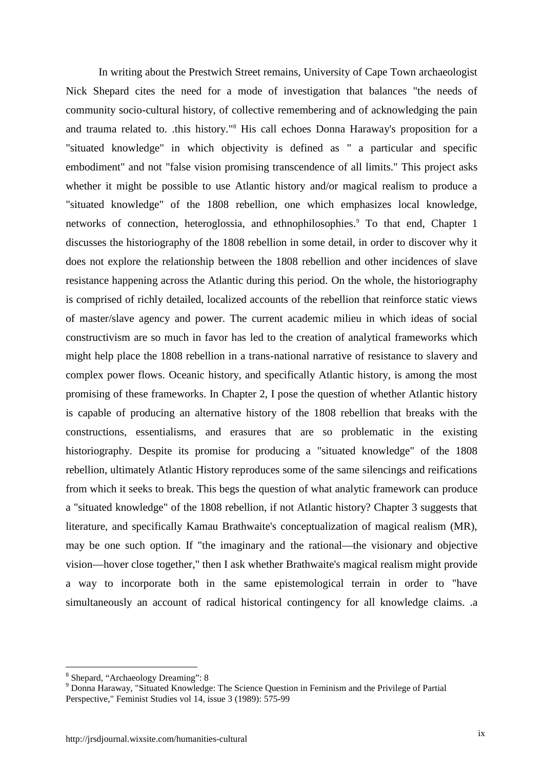In writing about the Prestwich Street remains, University of Cape Town archaeologist Nick Shepard cites the need for a mode of investigation that balances "the needs of community socio-cultural history, of collective remembering and of acknowledging the pain and trauma related to. .this history."<sup>8</sup> His call echoes Donna Haraway's proposition for a "situated knowledge" in which objectivity is defined as " a particular and specific embodiment" and not "false vision promising transcendence of all limits." This project asks whether it might be possible to use Atlantic history and/or magical realism to produce a "situated knowledge" of the 1808 rebellion, one which emphasizes local knowledge, networks of connection, heteroglossia, and ethnophilosophies.<sup>9</sup> To that end, Chapter 1 discusses the historiography of the 1808 rebellion in some detail, in order to discover why it does not explore the relationship between the 1808 rebellion and other incidences of slave resistance happening across the Atlantic during this period. On the whole, the historiography is comprised of richly detailed, localized accounts of the rebellion that reinforce static views of master/slave agency and power. The current academic milieu in which ideas of social constructivism are so much in favor has led to the creation of analytical frameworks which might help place the 1808 rebellion in a trans-national narrative of resistance to slavery and complex power flows. Oceanic history, and specifically Atlantic history, is among the most promising of these frameworks. In Chapter 2, I pose the question of whether Atlantic history is capable of producing an alternative history of the 1808 rebellion that breaks with the constructions, essentialisms, and erasures that are so problematic in the existing historiography. Despite its promise for producing a "situated knowledge" of the 1808 rebellion, ultimately Atlantic History reproduces some of the same silencings and reifications from which it seeks to break. This begs the question of what analytic framework can produce a "situated knowledge" of the 1808 rebellion, if not Atlantic history? Chapter 3 suggests that literature, and specifically Kamau Brathwaite's conceptualization of magical realism (MR), may be one such option. If "the imaginary and the rational—the visionary and objective vision—hover close together," then I ask whether Brathwaite's magical realism might provide a way to incorporate both in the same epistemological terrain in order to "have simultaneously an account of radical historical contingency for all knowledge claims. .a

<sup>8</sup> Shepard, "Archaeology Dreaming": 8

<sup>&</sup>lt;sup>9</sup> Donna Haraway, "Situated Knowledge: The Science Question in Feminism and the Privilege of Partial Perspective," Feminist Studies vol 14, issue 3 (1989): 575-99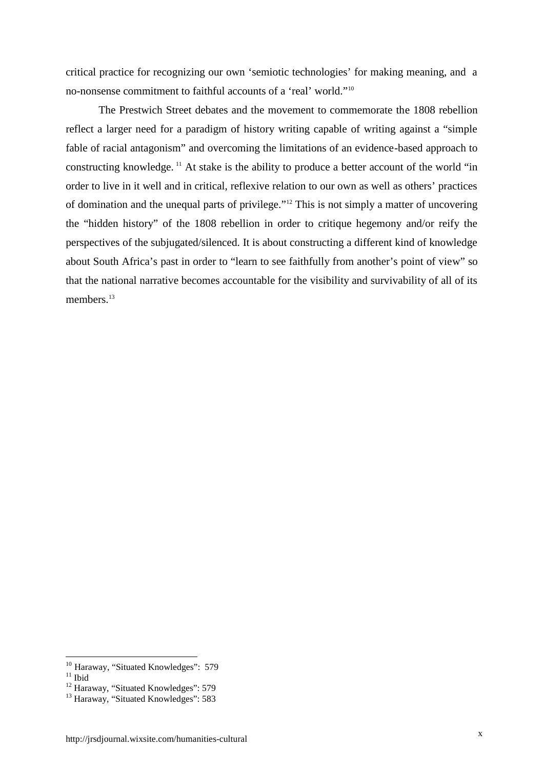critical practice for recognizing our own 'semiotic technologies' for making meaning, and a no-nonsense commitment to faithful accounts of a 'real' world."<sup>10</sup>

The Prestwich Street debates and the movement to commemorate the 1808 rebellion reflect a larger need for a paradigm of history writing capable of writing against a "simple fable of racial antagonism" and overcoming the limitations of an evidence-based approach to constructing knowledge. <sup>11</sup> At stake is the ability to produce a better account of the world "in order to live in it well and in critical, reflexive relation to our own as well as others' practices of domination and the unequal parts of privilege."<sup>12</sup> This is not simply a matter of uncovering the "hidden history" of the 1808 rebellion in order to critique hegemony and/or reify the perspectives of the subjugated/silenced. It is about constructing a different kind of knowledge about South Africa's past in order to "learn to see faithfully from another's point of view" so that the national narrative becomes accountable for the visibility and survivability of all of its members.<sup>13</sup>

<sup>&</sup>lt;sup>10</sup> Haraway, "Situated Knowledges": 579

 $^{11}$  Ibid

<sup>&</sup>lt;sup>12</sup> Haraway, "Situated Knowledges": 579

<sup>&</sup>lt;sup>13</sup> Haraway, "Situated Knowledges": 583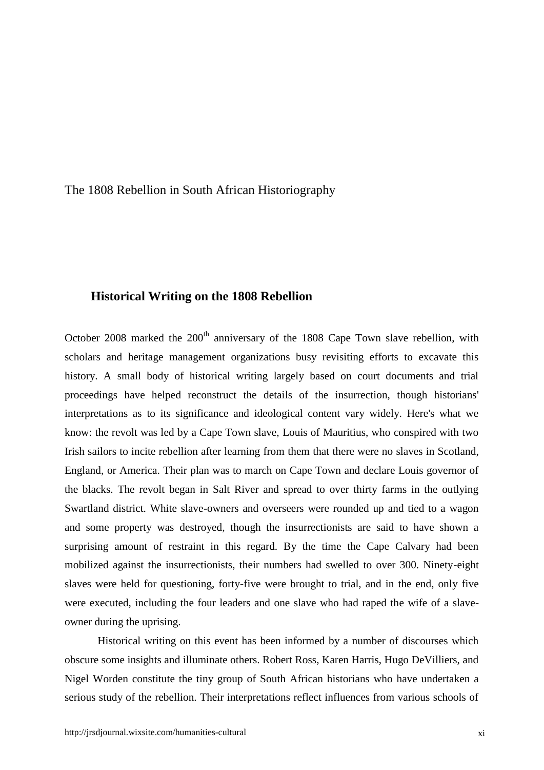The 1808 Rebellion in South African Historiography

#### **Historical Writing on the 1808 Rebellion**

October 2008 marked the  $200<sup>th</sup>$  anniversary of the 1808 Cape Town slave rebellion, with scholars and heritage management organizations busy revisiting efforts to excavate this history. A small body of historical writing largely based on court documents and trial proceedings have helped reconstruct the details of the insurrection, though historians' interpretations as to its significance and ideological content vary widely. Here's what we know: the revolt was led by a Cape Town slave, Louis of Mauritius, who conspired with two Irish sailors to incite rebellion after learning from them that there were no slaves in Scotland, England, or America. Their plan was to march on Cape Town and declare Louis governor of the blacks. The revolt began in Salt River and spread to over thirty farms in the outlying Swartland district. White slave-owners and overseers were rounded up and tied to a wagon and some property was destroyed, though the insurrectionists are said to have shown a surprising amount of restraint in this regard. By the time the Cape Calvary had been mobilized against the insurrectionists, their numbers had swelled to over 300. Ninety-eight slaves were held for questioning, forty-five were brought to trial, and in the end, only five were executed, including the four leaders and one slave who had raped the wife of a slave owner during the uprising.

Historical writing on this event has been informed by a number of discourses which obscure some insights and illuminate others. Robert Ross, Karen Harris, Hugo DeVilliers, and Nigel Worden constitute the tiny group of South African historians who have undertaken a serious study of the rebellion. Their interpretations reflect influences from various schools of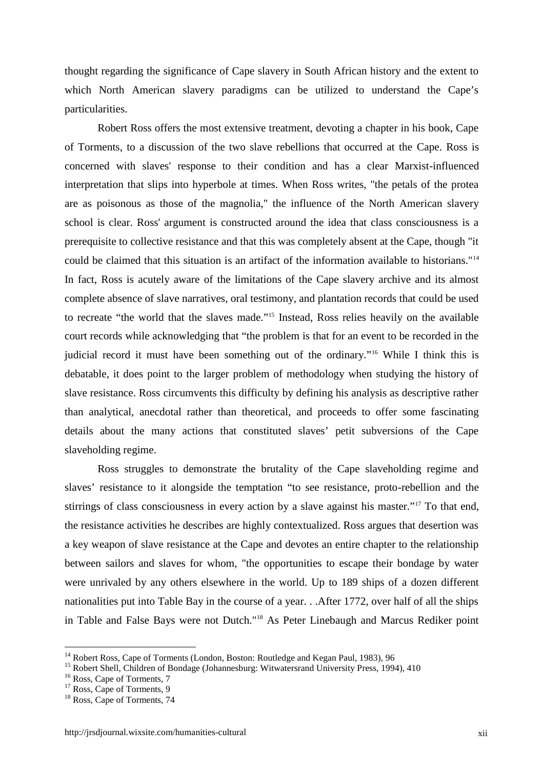thought regarding the significance of Cape slavery in South African history and the extent to which North American slavery paradigms can be utilized to understand the Cape's particularities.

Robert Ross offers the most extensive treatment, devoting a chapter in his book, Cape of Torments, to a discussion of the two slave rebellions that occurred at the Cape. Ross is concerned with slaves' response to their condition and has a clear Marxist-influenced interpretation that slips into hyperbole at times. When Ross writes, "the petals of the protea are as poisonous as those of the magnolia," the influence of the North American slavery school is clear. Ross' argument is constructed around the idea that class consciousness is a prerequisite to collective resistance and that this was completely absent at the Cape, though "it could be claimed that this situation is an artifact of the information available to historians."<sup>14</sup> In fact, Ross is acutely aware of the limitations of the Cape slavery archive and its almost complete absence of slave narratives, oral testimony, and plantation records that could be used to recreate "the world that the slaves made."<sup>15</sup> Instead, Ross relies heavily on the available court records while acknowledging that "the problem is that for an event to be recorded in the judicial record it must have been something out of the ordinary."<sup>16</sup> While I think this is debatable, it does point to the larger problem of methodology when studying the history of slave resistance. Ross circumvents this difficulty by defining his analysis as descriptive rather than analytical, anecdotal rather than theoretical, and proceeds to offer some fascinating details about the many actions that constituted slaves' petit subversions of the Cape slaveholding regime.

Ross struggles to demonstrate the brutality of the Cape slaveholding regime and slaves' resistance to it alongside the temptation "to see resistance, proto-rebellion and the stirrings of class consciousness in every action by a slave against his master."<sup>17</sup> To that end, the resistance activities he describes are highly contextualized. Ross argues that desertion was a key weapon of slave resistance at the Cape and devotes an entire chapter to the relationship between sailors and slaves for whom, "the opportunities to escape their bondage by water were unrivaled by any others elsewhere in the world. Up to 189 ships of a dozen different nationalities put into Table Bay in the course of a year. . .After 1772, over half of all the ships in Table and False Bays were not Dutch."<sup>18</sup> As Peter Linebaugh and Marcus Rediker point

<sup>&</sup>lt;sup>14</sup> Robert Ross, Cape of Torments (London, Boston: Routledge and Kegan Paul, 1983), 96

<sup>&</sup>lt;sup>15</sup> Robert Shell, Children of Bondage (Johannesburg: Witwatersrand University Press, 1994), 410

<sup>&</sup>lt;sup>16</sup> Ross, Cape of Torments, 7

<sup>&</sup>lt;sup>17</sup> Ross, Cape of Torments, 9

<sup>&</sup>lt;sup>18</sup> Ross, Cape of Torments, 74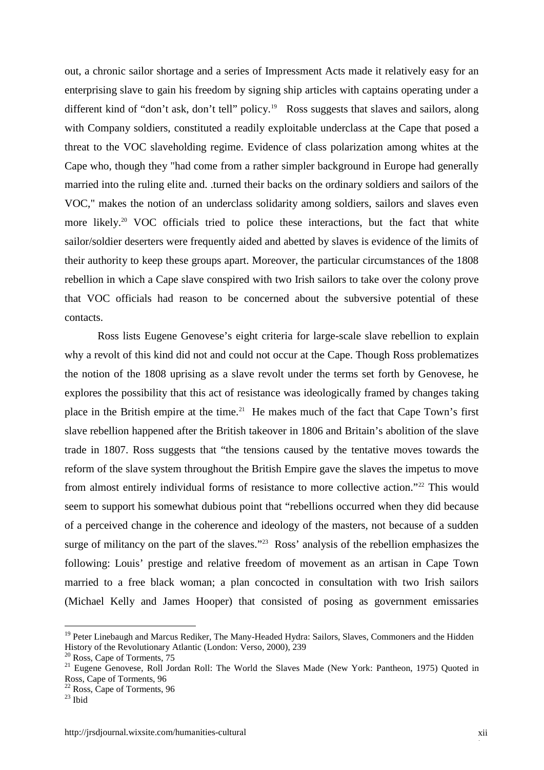out, a chronic sailor shortage and a series of Impressment Acts made it relatively easy for an enterprising slave to gain his freedom by signing ship articles with captains operating under a different kind of "don't ask, don't tell" policy.<sup>19</sup> Ross suggests that slaves and sailors, along with Company soldiers, constituted a readily exploitable underclass at the Cape that posed a threat to the VOC slaveholding regime. Evidence of class polarization among whites at the Cape who, though they "had come from a rather simpler background in Europe had generally married into the ruling elite and. .turned their backs on the ordinary soldiers and sailors of the VOC," makes the notion of an underclass solidarity among soldiers, sailors and slaves even more likely.<sup>20</sup> VOC officials tried to police these interactions, but the fact that white sailor/soldier deserters were frequently aided and abetted by slaves is evidence of the limits of their authority to keep these groups apart. Moreover, the particular circumstances of the 1808 rebellion in which a Cape slave conspired with two Irish sailors to take over the colony prove that VOC officials had reason to be concerned about the subversive potential of these contacts.

Ross lists Eugene Genovese's eight criteria for large-scale slave rebellion to explain why a revolt of this kind did not and could not occur at the Cape. Though Ross problematizes the notion of the 1808 uprising as a slave revolt under the terms set forth by Genovese, he explores the possibility that this act of resistance was ideologically framed by changes taking place in the British empire at the time.<sup>21</sup> He makes much of the fact that Cape Town's first slave rebellion happened after the British takeover in 1806 and Britain's abolition of the slave trade in 1807. Ross suggests that "the tensions caused by the tentative moves towards the reform of the slave system throughout the British Empire gave the slaves the impetus to move from almost entirely individual forms of resistance to more collective action."<sup>22</sup> This would seem to support his somewhat dubious point that "rebellions occurred when they did because of a perceived change in the coherence and ideology of the masters, not because of a sudden surge of militancy on the part of the slaves."<sup>23</sup> Ross' analysis of the rebellion emphasizes the following: Louis' prestige and relative freedom of movement as an artisan in Cape Town married to a free black woman; a plan concocted in consultation with two Irish sailors (Michael Kelly and James Hooper) that consisted of posing as government emissaries

<sup>&</sup>lt;sup>19</sup> Peter Linebaugh and Marcus Rediker, The Many-Headed Hydra: Sailors, Slaves, Commoners and the Hidden History of the Revolutionary Atlantic (London: Verso, 2000), 239

<sup>&</sup>lt;sup>20</sup> Ross, Cape of Torments, 75

<sup>&</sup>lt;sup>21</sup> Eugene Genovese, Roll Jordan Roll: The World the Slaves Made (New York: Pantheon, 1975) Quoted in Ross, Cape of Torments, 96

<sup>22</sup> Ross, Cape of Torments, 96

 $23$  Ibid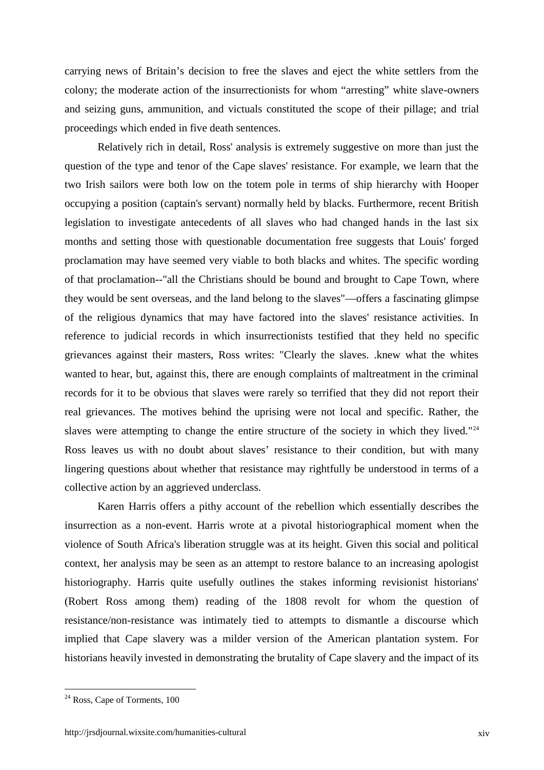carrying news of Britain's decision to free the slaves and eject the white settlers from the colony; the moderate action of the insurrectionists for whom "arresting" white slave-owners and seizing guns, ammunition, and victuals constituted the scope of their pillage; and trial proceedings which ended in five death sentences.

Relatively rich in detail, Ross' analysis is extremely suggestive on more than just the question of the type and tenor of the Cape slaves' resistance. For example, we learn that the two Irish sailors were both low on the totem pole in terms of ship hierarchy with Hooper occupying a position (captain's servant) normally held by blacks. Furthermore, recent British legislation to investigate antecedents of all slaves who had changed hands in the last six months and setting those with questionable documentation free suggests that Louis' forged proclamation may have seemed very viable to both blacks and whites. The specific wording of that proclamation--"all the Christians should be bound and brought to Cape Town, where they would be sent overseas, and the land belong to the slaves"—offers a fascinating glimpse of the religious dynamics that may have factored into the slaves' resistance activities. In reference to judicial records in which insurrectionists testified that they held no specific grievances against their masters, Ross writes: "Clearly the slaves. .knew what the whites wanted to hear, but, against this, there are enough complaints of maltreatment in the criminal records for it to be obvious that slaves were rarely so terrified that they did not report their real grievances. The motives behind the uprising were not local and specific. Rather, the slaves were attempting to change the entire structure of the society in which they lived." $24$ Ross leaves us with no doubt about slaves' resistance to their condition, but with many lingering questions about whether that resistance may rightfully be understood in terms of a collective action by an aggrieved underclass.

Karen Harris offers a pithy account of the rebellion which essentially describes the insurrection as a non-event. Harris wrote at a pivotal historiographical moment when the violence of South Africa's liberation struggle was at its height. Given this social and political context, her analysis may be seen as an attempt to restore balance to an increasing apologist historiography. Harris quite usefully outlines the stakes informing revisionist historians' (Robert Ross among them) reading of the 1808 revolt for whom the question of resistance/non-resistance was intimately tied to attempts to dismantle a discourse which implied that Cape slavery was a milder version of the American plantation system. For historians heavily invested in demonstrating the brutality of Cape slavery and the impact of its

<sup>24</sup> Ross, Cape of Torments, 100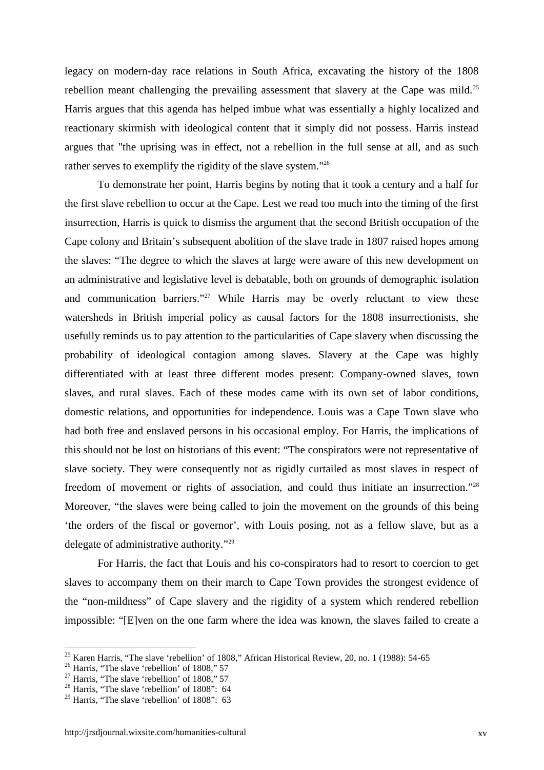legacy on modern-day race relations in South Africa, excavating the history of the 1808 rebellion meant challenging the prevailing assessment that slavery at the Cape was mild.<sup>25</sup> Harris argues that this agenda has helped imbue what was essentially a highly localized and reactionary skirmish with ideological content that it simply did not possess. Harris instead argues that "the uprising was in effect, not a rebellion in the full sense at all, and as such rather serves to exemplify the rigidity of the slave system."<sup>26</sup>

To demonstrate her point, Harris begins by noting that it took a century and a half for the first slave rebellion to occur at the Cape. Lest we read too much into the timing of the first insurrection, Harris is quick to dismiss the argument that the second British occupation of the Cape colony and Britain's subsequent abolition of the slave trade in 1807 raised hopes among the slaves: "The degree to which the slaves at large were aware of this new development on an administrative and legislative level is debatable, both on grounds of demographic isolation and communication barriers."<sup>27</sup> While Harris may be overly reluctant to view these watersheds in British imperial policy as causal factors for the 1808 insurrectionists, she usefully reminds us to pay attention to the particularities of Cape slavery when discussing the probability of ideological contagion among slaves. Slavery at the Cape was highly differentiated with at least three different modes present: Company-owned slaves, town slaves, and rural slaves. Each of these modes came with its own set of labor conditions, domestic relations, and opportunities for independence. Louis was a Cape Town slave who had both free and enslaved persons in his occasional employ. For Harris, the implications of this should not be lost on historians of this event: "The conspirators were not representative of slave society. They were consequently not as rigidly curtailed as most slaves in respect of freedom of movement or rights of association, and could thus initiate an insurrection."<sup>28</sup> Moreover, "the slaves were being called to join the movement on the grounds of this being 'the orders of the fiscal or governor', with Louis posing, not as a fellow slave, but as a delegate of administrative authority."<sup>29</sup>

For Harris, the fact that Louis and his co-conspirators had to resort to coercion to get slaves to accompany them on their march to Cape Town provides the strongest evidence of the "non-mildness" of Cape slavery and the rigidity of a system which rendered rebellion impossible: "[E]ven on the one farm where the idea was known, the slaves failed to create a

<sup>&</sup>lt;sup>25</sup> Karen Harris, "The slave 'rebellion' of 1808," African Historical Review, 20, no. 1 (1988): 54-65

<sup>&</sup>lt;sup>26</sup> Harris, "The slave 'rebellion' of 1808," 57

 $27$  Harris, "The slave 'rebellion' of 1808," 57

<sup>&</sup>lt;sup>28</sup> Harris, "The slave 'rebellion' of 1808": 64

 $29$  Harris, "The slave 'rebellion' of 1808": 63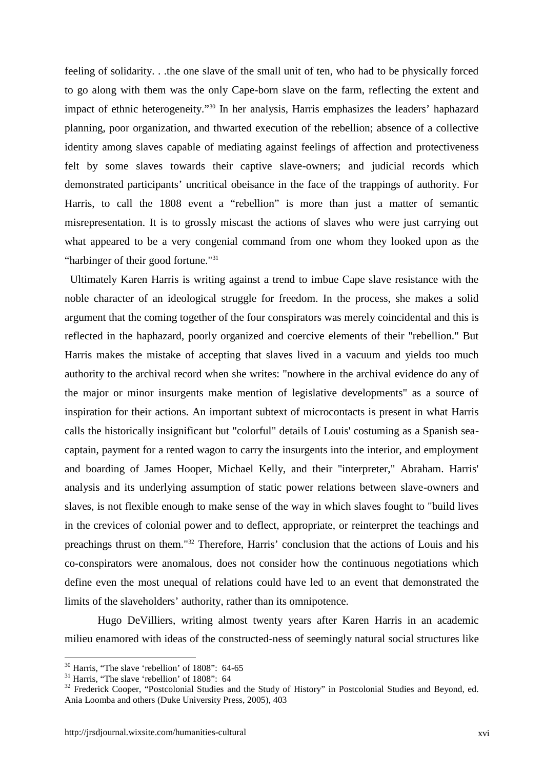feeling of solidarity. . .the one slave of the small unit of ten, who had to be physically forced to go along with them was the only Cape-born slave on the farm, reflecting the extent and impact of ethnic heterogeneity."<sup>30</sup> In her analysis, Harris emphasizes the leaders' haphazard planning, poor organization, and thwarted execution of the rebellion; absence of a collective identity among slaves capable of mediating against feelings of affection and protectiveness felt by some slaves towards their captive slave-owners; and judicial records which demonstrated participants' uncritical obeisance in the face of the trappings of authority. For Harris, to call the 1808 event a "rebellion" is more than just a matter of semantic misrepresentation. It is to grossly miscast the actions of slaves who were just carrying out what appeared to be a very congenial command from one whom they looked upon as the "harbinger of their good fortune."<sup>31</sup>

Ultimately Karen Harris is writing against a trend to imbue Cape slave resistance with the noble character of an ideological struggle for freedom. In the process, she makes a solid argument that the coming together of the four conspirators was merely coincidental and this is reflected in the haphazard, poorly organized and coercive elements of their "rebellion." But Harris makes the mistake of accepting that slaves lived in a vacuum and yields too much authority to the archival record when she writes: "nowhere in the archival evidence do any of the major or minor insurgents make mention of legislative developments" as a source of inspiration for their actions. An important subtext of microcontacts is present in what Harris calls the historically insignificant but "colorful" details of Louis' costuming as a Spanish sea captain, payment for a rented wagon to carry the insurgents into the interior, and employment and boarding of James Hooper, Michael Kelly, and their "interpreter," Abraham. Harris' analysis and its underlying assumption of static power relations between slave-owners and slaves, is not flexible enough to make sense of the way in which slaves fought to "build lives in the crevices of colonial power and to deflect, appropriate, or reinterpret the teachings and preachings thrust on them."<sup>32</sup> Therefore, Harris' conclusion that the actions of Louis and his co-conspirators were anomalous, does not consider how the continuous negotiations which define even the most unequal of relations could have led to an event that demonstrated the limits of the slaveholders' authority, rather than its omnipotence.

Hugo DeVilliers, writing almost twenty years after Karen Harris in an academic milieu enamored with ideas of the constructed-ness of seemingly natural social structures like

 $30$  Harris, "The slave 'rebellion' of 1808": 64-65

<sup>&</sup>lt;sup>31</sup> Harris, "The slave 'rebellion' of 1808": 64

<sup>&</sup>lt;sup>32</sup> Frederick Cooper, "Postcolonial Studies and the Study of History" in Postcolonial Studies and Beyond, ed. Ania Loomba and others (Duke University Press, 2005), 403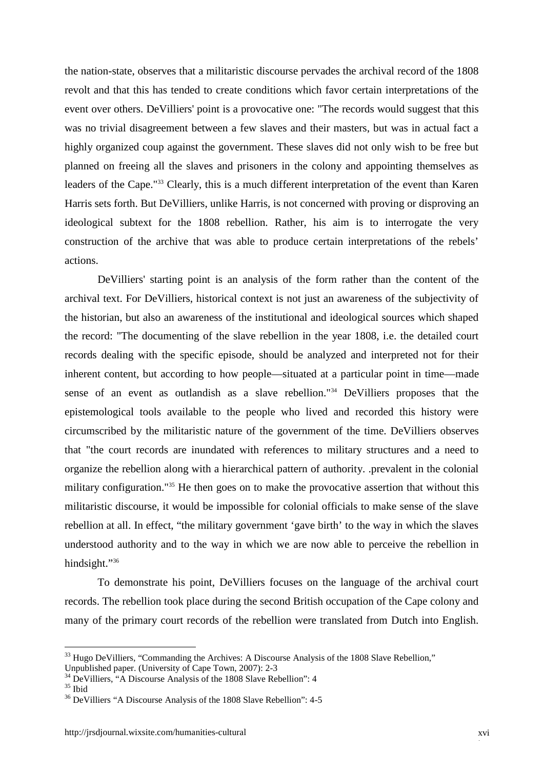the nation-state, observes that a militaristic discourse pervades the archival record of the 1808 revolt and that this has tended to create conditions which favor certain interpretations of the event over others. DeVilliers' point is a provocative one: "The records would suggest that this was no trivial disagreement between a few slaves and their masters, but was in actual fact a highly organized coup against the government. These slaves did not only wish to be free but planned on freeing all the slaves and prisoners in the colony and appointing themselves as leaders of the Cape."<sup>33</sup> Clearly, this is a much different interpretation of the event than Karen Harris sets forth. But DeVilliers, unlike Harris, is not concerned with proving or disproving an ideological subtext for the 1808 rebellion. Rather, his aim is to interrogate the very construction of the archive that was able to produce certain interpretations of the rebels' actions.

DeVilliers' starting point is an analysis of the form rather than the content of the archival text. For DeVilliers, historical context is not just an awareness of the subjectivity of the historian, but also an awareness of the institutional and ideological sources which shaped the record: "The documenting of the slave rebellion in the year 1808, i.e. the detailed court records dealing with the specific episode, should be analyzed and interpreted not for their inherent content, but according to how people—situated at a particular point in time—made sense of an event as outlandish as a slave rebellion."<sup>34</sup> DeVilliers proposes that the epistemological tools available to the people who lived and recorded this history were circumscribed by the militaristic nature of the government of the time. DeVilliers observes that "the court records are inundated with references to military structures and a need to organize the rebellion along with a hierarchical pattern of authority. .prevalent in the colonial military configuration."<sup>35</sup> He then goes on to make the provocative assertion that without this militaristic discourse, it would be impossible for colonial officials to make sense of the slave rebellion at all. In effect, "the military government 'gave birth' to the way in which the slaves understood authority and to the way in which we are now able to perceive the rebellion in hindsight."36

To demonstrate his point, DeVilliers focuses on the language of the archival court records. The rebellion took place during the second British occupation of the Cape colony and many of the primary court records of the rebellion were translated from Dutch into English.

<sup>&</sup>lt;sup>33</sup> Hugo DeVilliers, "Commanding the Archives: A Discourse Analysis of the 1808 Slave Rebellion," Unpublished paper. (University of Cape Town, 2007): 2-3

 $34$  DeVilliers, "A Discourse Analysis of the 1808 Slave Rebellion": 4

 $35$  Ibid

<sup>36</sup> DeVilliers "A Discourse Analysis of the 1808 Slave Rebellion": 4-5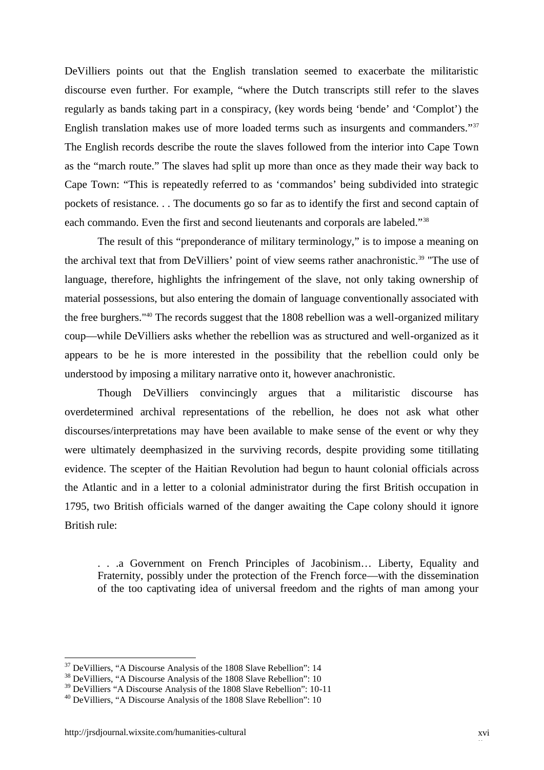DeVilliers points out that the English translation seemed to exacerbate the militaristic discourse even further. For example, "where the Dutch transcripts still refer to the slaves regularly as bands taking part in a conspiracy, (key words being 'bende' and 'Complot') the English translation makes use of more loaded terms such as insurgents and commanders."<sup>37</sup> The English records describe the route the slaves followed from the interior into Cape Town as the "march route." The slaves had split up more than once as they made their way back to Cape Town: "This is repeatedly referred to as 'commandos' being subdivided into strategic pockets of resistance. . . The documents go so far as to identify the first and second captain of each commando. Even the first and second lieutenants and corporals are labeled."<sup>38</sup>

The result of this "preponderance of military terminology," is to impose a meaning on the archival text that from DeVilliers' point of view seems rather anachronistic.<sup>39</sup> "The use of language, therefore, highlights the infringement of the slave, not only taking ownership of material possessions, but also entering the domain of language conventionally associated with the free burghers."<sup>40</sup> The records suggest that the 1808 rebellion was a well-organized military coup—while DeVilliers asks whether the rebellion was as structured and well-organized as it appears to be he is more interested in the possibility that the rebellion could only be understood by imposing a military narrative onto it, however anachronistic.

Though DeVilliers convincingly argues that a militaristic discourse has overdetermined archival representations of the rebellion, he does not ask what other discourses/interpretations may have been available to make sense of the event or why they were ultimately deemphasized in the surviving records, despite providing some titillating evidence. The scepter of the Haitian Revolution had begun to haunt colonial officials across the Atlantic and in a letter to a colonial administrator during the first British occupation in 1795, two British officials warned of the danger awaiting the Cape colony should it ignore British rule:

. . .a Government on French Principles of Jacobinism… Liberty, Equality and Fraternity, possibly under the protection of the French force—with the dissemination of the too captivating idea of universal freedom and the rights of man among your

<sup>&</sup>lt;sup>37</sup> DeVilliers, "A Discourse Analysis of the 1808 Slave Rebellion": 14

<sup>&</sup>lt;sup>38</sup> DeVilliers, "A Discourse Analysis of the 1808 Slave Rebellion": 10

<sup>39</sup> DeVilliers "A Discourse Analysis of the 1808 Slave Rebellion": 10-11

<sup>40</sup> DeVilliers, "A Discourse Analysis of the 1808 Slave Rebellion": 10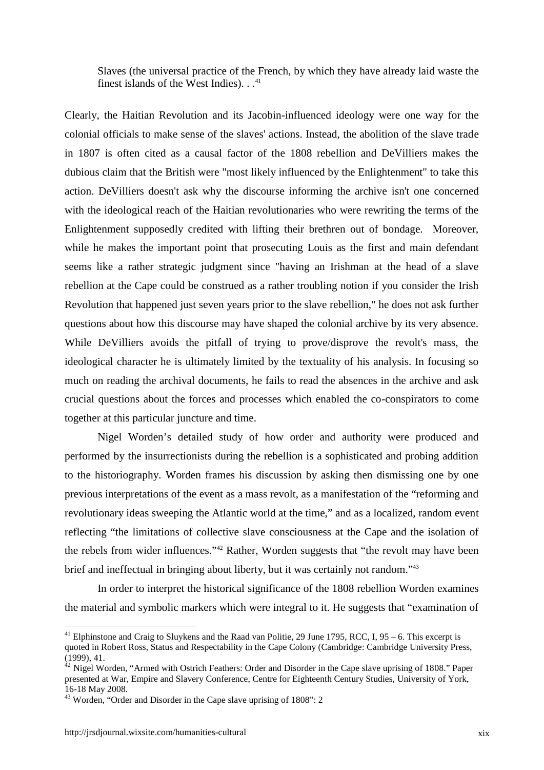Slaves (the universal practice of the French, by which they have already laid waste the finest islands of the West Indies).  $\cdot$ .<sup>41</sup>

Clearly, the Haitian Revolution and its Jacobin-influenced ideology were one way for the colonial officials to make sense of the slaves' actions. Instead, the abolition of the slave trade in 1807 is often cited as a causal factor of the 1808 rebellion and DeVilliers makes the dubious claim that the British were "most likely influenced by the Enlightenment" to take this action. DeVilliers doesn't ask why the discourse informing the archive isn't one concerned with the ideological reach of the Haitian revolutionaries who were rewriting the terms of the Enlightenment supposedly credited with lifting their brethren out of bondage. Moreover, while he makes the important point that prosecuting Louis as the first and main defendant seems like a rather strategic judgment since "having an Irishman at the head of a slave rebellion at the Cape could be construed as a rather troubling notion if you consider the Irish Revolution that happened just seven years prior to the slave rebellion," he does not ask further questions about how this discourse may have shaped the colonial archive by its very absence. While DeVilliers avoids the pitfall of trying to prove/disprove the revolt's mass, the ideological character he is ultimately limited by the textuality of his analysis. In focusing so much on reading the archival documents, he fails to read the absences in the archive and ask crucial questions about the forces and processes which enabled the co-conspirators to come together at this particular juncture and time.

Nigel Worden's detailed study of how order and authority were produced and performed by the insurrectionists during the rebellion is a sophisticated and probing addition to the historiography. Worden frames his discussion by asking then dismissing one by one previous interpretations of the event as a mass revolt, as a manifestation of the "reforming and revolutionary ideas sweeping the Atlantic world at the time," and as a localized, random event reflecting "the limitations of collective slave consciousness at the Cape and the isolation of the rebels from wider influences."<sup>42</sup> Rather, Worden suggests that "the revolt may have been brief and ineffectual in bringing about liberty, but it was certainly not random."<sup>43</sup>

In order to interpret the historical significance of the 1808 rebellion Worden examines the material and symbolic markers which were integral to it. He suggests that "examination of

<sup>&</sup>lt;sup>41</sup> Elphinstone and Craig to Sluykens and the Raad van Politie, 29 June 1795, RCC, I, 95 – 6. This excerpt is quoted in Robert Ross, Status and Respectability in the Cape Colony (Cambridge: Cambridge University Press, (1999), 41. <sup>42</sup> Nigel Worden, "Armed with Ostrich Feathers: Order and Disorder in the Cape slave uprising of 1808." Paper

presented at War, Empire and Slavery Conference, Centre for Eighteenth Century Studies, University of York,

<sup>16-18</sup> May 2008. <sup>43</sup> Worden, "Order and Disorder in the Cape slave uprising of 1808": 2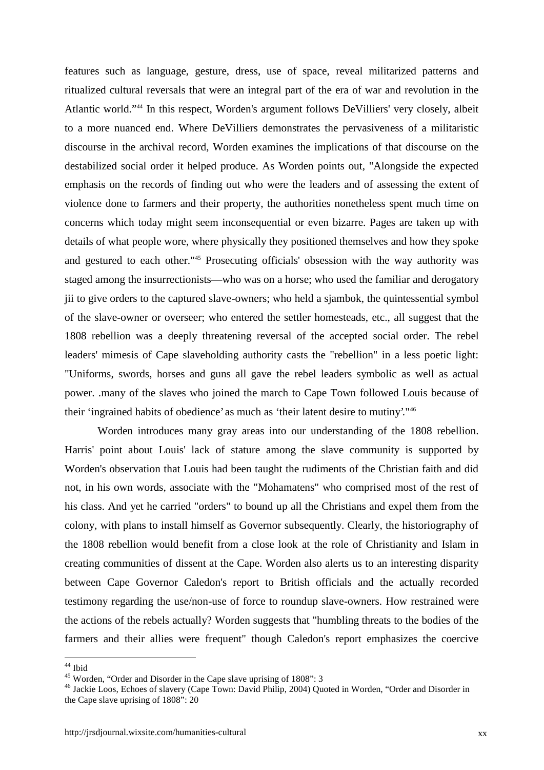features such as language, gesture, dress, use of space, reveal militarized patterns and ritualized cultural reversals that were an integral part of the era of war and revolution in the Atlantic world."<sup>44</sup> In this respect, Worden's argument follows DeVilliers' very closely, albeit to a more nuanced end. Where DeVilliers demonstrates the pervasiveness of a militaristic discourse in the archival record, Worden examines the implications of that discourse on the destabilized social order it helped produce. As Worden points out, "Alongside the expected emphasis on the records of finding out who were the leaders and of assessing the extent of violence done to farmers and their property, the authorities nonetheless spent much time on concerns which today might seem inconsequential or even bizarre. Pages are taken up with details of what people wore, where physically they positioned themselves and how they spoke and gestured to each other."<sup>45</sup> Prosecuting officials' obsession with the way authority was staged among the insurrectionists—who was on a horse; who used the familiar and derogatory jii to give orders to the captured slave-owners; who held a sjambok, the quintessential symbol of the slave-owner or overseer; who entered the settler homesteads, etc., all suggest that the 1808 rebellion was a deeply threatening reversal of the accepted social order. The rebel leaders' mimesis of Cape slaveholding authority casts the "rebellion" in a less poetic light: "Uniforms, swords, horses and guns all gave the rebel leaders symbolic as well as actual power. .many of the slaves who joined the march to Cape Town followed Louis because of their 'ingrained habits of obedience' as much as 'their latent desire to mutiny'."<sup>46</sup>

Worden introduces many gray areas into our understanding of the 1808 rebellion. Harris' point about Louis' lack of stature among the slave community is supported by Worden's observation that Louis had been taught the rudiments of the Christian faith and did not, in his own words, associate with the "Mohamatens" who comprised most of the rest of his class. And yet he carried "orders" to bound up all the Christians and expel them from the colony, with plans to install himself as Governor subsequently. Clearly, the historiography of the 1808 rebellion would benefit from a close look at the role of Christianity and Islam in creating communities of dissent at the Cape. Worden also alerts us to an interesting disparity between Cape Governor Caledon's report to British officials and the actually recorded testimony regarding the use/non-use of force to roundup slave-owners. How restrained were the actions of the rebels actually? Worden suggests that "humbling threats to the bodies of the farmers and their allies were frequent" though Caledon's report emphasizes the coercive

<sup>&</sup>lt;sup>44</sup> Ibid

<sup>45</sup> Worden, "Order and Disorder in the Cape slave uprising of 1808": 3

<sup>46</sup> Jackie Loos, Echoes of slavery (Cape Town: David Philip, 2004) Quoted in Worden, "Order and Disorder in the Cape slave uprising of 1808": 20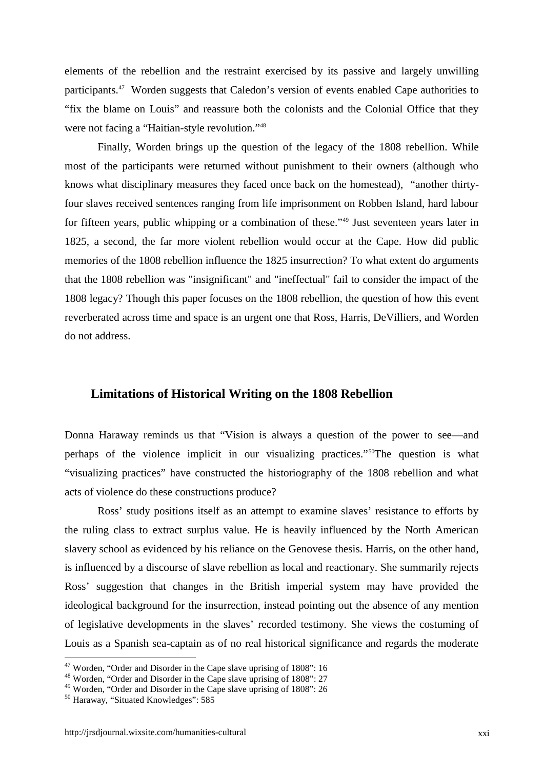elements of the rebellion and the restraint exercised by its passive and largely unwilling participants.<sup>47</sup> Worden suggests that Caledon's version of events enabled Cape authorities to "fix the blame on Louis" and reassure both the colonists and the Colonial Office that they were not facing a "Haitian-style revolution."<sup>48</sup>

Finally, Worden brings up the question of the legacy of the 1808 rebellion. While most of the participants were returned without punishment to their owners (although who knows what disciplinary measures they faced once back on the homestead), "another thirtyfour slaves received sentences ranging from life imprisonment on Robben Island, hard labour for fifteen years, public whipping or a combination of these."<sup>49</sup> Just seventeen years later in 1825, a second, the far more violent rebellion would occur at the Cape. How did public memories of the 1808 rebellion influence the 1825 insurrection? To what extent do arguments that the 1808 rebellion was "insignificant" and "ineffectual" fail to consider the impact of the 1808 legacy? Though this paper focuses on the 1808 rebellion, the question of how this event reverberated across time and space is an urgent one that Ross, Harris, DeVilliers, and Worden do not address.

#### **Limitations of Historical Writing on the 1808 Rebellion**

Donna Haraway reminds us that "Vision is always a question of the power to see—and perhaps of the violence implicit in our visualizing practices."<sup>50</sup>The question is what "visualizing practices" have constructed the historiography of the 1808 rebellion and what acts of violence do these constructions produce?

Ross' study positions itself as an attempt to examine slaves' resistance to efforts by the ruling class to extract surplus value. He is heavily influenced by the North American slavery school as evidenced by his reliance on the Genovese thesis. Harris, on the other hand, is influenced by a discourse of slave rebellion as local and reactionary. She summarily rejects Ross' suggestion that changes in the British imperial system may have provided the ideological background for the insurrection, instead pointing out the absence of any mention of legislative developments in the slaves' recorded testimony. She views the costuming of Louis as a Spanish sea-captain as of no real historical significance and regards the moderate

<sup>&</sup>lt;sup>47</sup> Worden, "Order and Disorder in the Cape slave uprising of 1808": 16

<sup>48</sup> Worden, "Order and Disorder in the Cape slave uprising of 1808": 27

<sup>49</sup> Worden, "Order and Disorder in the Cape slave uprising of 1808": 26

<sup>50</sup> Haraway, "Situated Knowledges": 585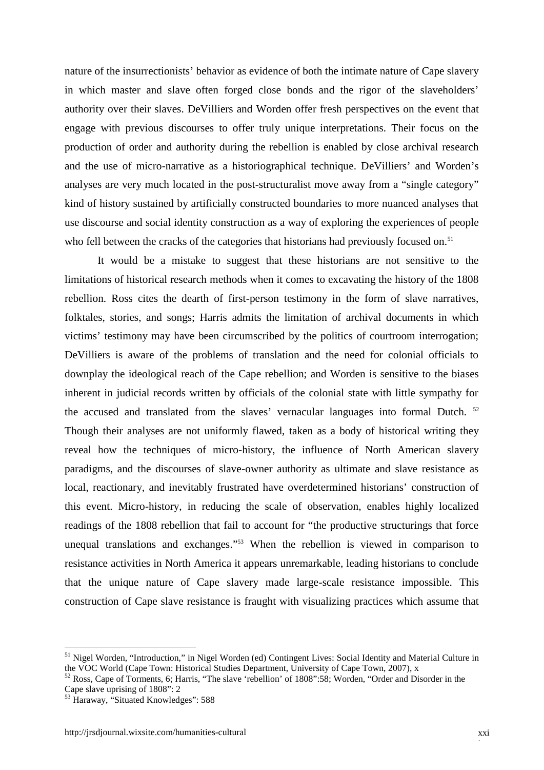nature of the insurrectionists' behavior as evidence of both the intimate nature of Cape slavery in which master and slave often forged close bonds and the rigor of the slaveholders' authority over their slaves. DeVilliers and Worden offer fresh perspectives on the event that engage with previous discourses to offer truly unique interpretations. Their focus on the production of order and authority during the rebellion is enabled by close archival research and the use of micro-narrative as a historiographical technique. DeVilliers' and Worden's analyses are very much located in the post-structuralist move away from a "single category" kind of history sustained by artificially constructed boundaries to more nuanced analyses that use discourse and social identity construction as a way of exploring the experiences of people who fell between the cracks of the categories that historians had previously focused on.<sup>51</sup>

It would be a mistake to suggest that these historians are not sensitive to the limitations of historical research methods when it comes to excavating the history of the 1808 rebellion. Ross cites the dearth of first-person testimony in the form of slave narratives, folktales, stories, and songs; Harris admits the limitation of archival documents in which victims' testimony may have been circumscribed by the politics of courtroom interrogation; DeVilliers is aware of the problems of translation and the need for colonial officials to downplay the ideological reach of the Cape rebellion; and Worden is sensitive to the biases inherent in judicial records written by officials of the colonial state with little sympathy for the accused and translated from the slaves' vernacular languages into formal Dutch. <sup>52</sup> Though their analyses are not uniformly flawed, taken as a body of historical writing they reveal how the techniques of micro-history, the influence of North American slavery paradigms, and the discourses of slave-owner authority as ultimate and slave resistance as local, reactionary, and inevitably frustrated have overdetermined historians' construction of this event. Micro-history, in reducing the scale of observation, enables highly localized readings of the 1808 rebellion that fail to account for "the productive structurings that force unequal translations and exchanges."<sup>53</sup> When the rebellion is viewed in comparison to resistance activities in North America it appears unremarkable, leading historians to conclude that the unique nature of Cape slavery made large-scale resistance impossible. This construction of Cape slave resistance is fraught with visualizing practices which assume that

<sup>&</sup>lt;sup>51</sup> Nigel Worden, "Introduction," in Nigel Worden (ed) Contingent Lives: Social Identity and Material Culture in the VOC World (Cape Town: Historical Studies Department, University of Cape Town, 2007), x

<sup>52</sup> Ross, Cape of Torments, 6; Harris, "The slave 'rebellion' of 1808":58; Worden, "Order and Disorder in the Cape slave uprising of 1808": 2

<sup>53</sup> Haraway, "Situated Knowledges": 588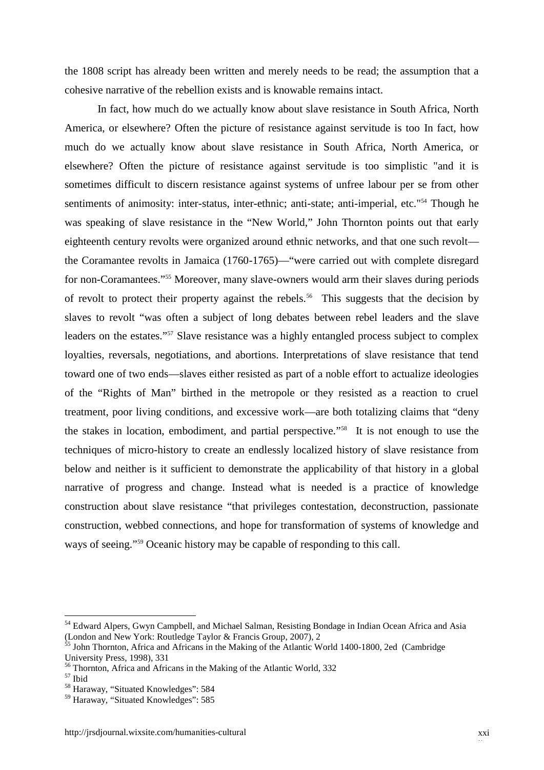the 1808 script has already been written and merely needs to be read; the assumption that a cohesive narrative of the rebellion exists and is knowable remains intact.

In fact, how much do we actually know about slave resistance in South Africa, North America, or elsewhere? Often the picture of resistance against servitude is too In fact, how much do we actually know about slave resistance in South Africa, North America, or elsewhere? Often the picture of resistance against servitude is too simplistic "and it is sometimes difficult to discern resistance against systems of unfree labour per se from other sentiments of animosity: inter-status, inter-ethnic; anti-state; anti-imperial, etc."<sup>54</sup> Though he was speaking of slave resistance in the "New World," John Thornton points out that early eighteenth century revolts were organized around ethnic networks, and that one such revolt the Coramantee revolts in Jamaica (1760-1765)—"were carried out with complete disregard for non-Coramantees."<sup>55</sup> Moreover, many slave-owners would arm their slaves during periods of revolt to protect their property against the rebels.<sup>56</sup> This suggests that the decision by slaves to revolt "was often a subject of long debates between rebel leaders and the slave leaders on the estates."<sup>57</sup> Slave resistance was a highly entangled process subject to complex loyalties, reversals, negotiations, and abortions. Interpretations of slave resistance that tend toward one of two ends—slaves either resisted as part of a noble effort to actualize ideologies of the "Rights of Man" birthed in the metropole or they resisted as a reaction to cruel treatment, poor living conditions, and excessive work—are both totalizing claims that "deny the stakes in location, embodiment, and partial perspective."<sup>58</sup> It is not enough to use the techniques of micro-history to create an endlessly localized history of slave resistance from below and neither is it sufficient to demonstrate the applicability of that history in a global narrative of progress and change. Instead what is needed is a practice of knowledge construction about slave resistance "that privileges contestation, deconstruction, passionate construction, webbed connections, and hope for transformation of systems of knowledge and ways of seeing."<sup>59</sup> Oceanic history may be capable of responding to this call.

<sup>&</sup>lt;sup>54</sup> Edward Alpers, Gwyn Campbell, and Michael Salman, Resisting Bondage in Indian Ocean Africa and Asia (London and New York: Routledge Taylor & Francis Group, 2007), 2

<sup>&</sup>lt;sup>55</sup> John Thornton, Africa and Africans in the Making of the Atlantic World 1400-1800, 2ed (Cambridge) University Press, 1998), 331

<sup>&</sup>lt;sup>56</sup> Thornton, Africa and Africans in the Making of the Atlantic World, 332

<sup>57</sup> Ibid

<sup>58</sup> Haraway, "Situated Knowledges": 584

<sup>59</sup> Haraway, "Situated Knowledges": 585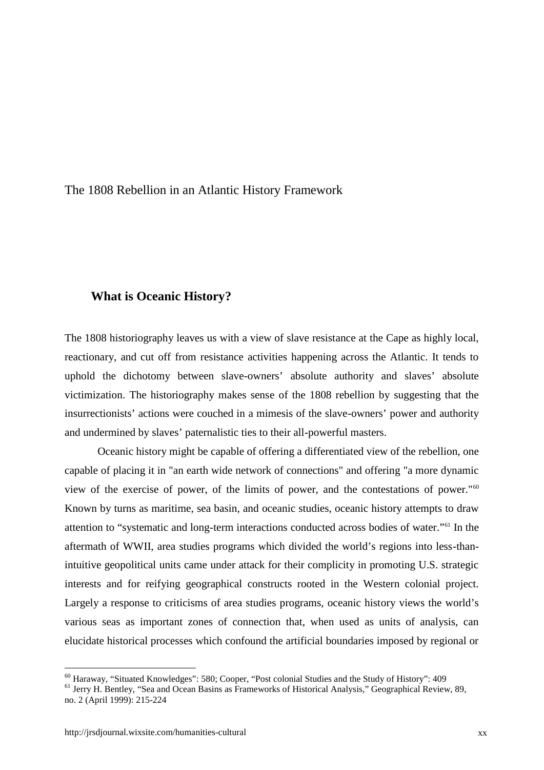The 1808 Rebellion in an Atlantic History Framework

#### **What is Oceanic History?**

The 1808 historiography leaves us with a view of slave resistance at the Cape as highly local, reactionary, and cut off from resistance activities happening across the Atlantic. It tends to uphold the dichotomy between slave-owners' absolute authority and slaves' absolute victimization. The historiography makes sense of the 1808 rebellion by suggesting that the insurrectionists' actions were couched in a mimesis of the slave-owners' power and authority and undermined by slaves' paternalistic ties to their all-powerful masters.

Oceanic history might be capable of offering a differentiated view of the rebellion, one capable of placing it in "an earth wide network of connections" and offering "a more dynamic view of the exercise of power, of the limits of power, and the contestations of power."<sup>60</sup> Known by turns as maritime, sea basin, and oceanic studies, oceanic history attempts to draw attention to "systematic and long-term interactions conducted across bodies of water."<sup>61</sup> In the aftermath of WWII, area studies programs which divided the world's regions into less-thanintuitive geopolitical units came under attack for their complicity in promoting U.S. strategic interests and for reifying geographical constructs rooted in the Western colonial project. Largely a response to criticisms of area studies programs, oceanic history views the world's various seas as important zones of connection that, when used as units of analysis, can elucidate historical processes which confound the artificial boundaries imposed by regional or

<sup>60</sup> Haraway, "Situated Knowledges": 580; Cooper, "Post colonial Studies and the Study of History": 409

<sup>&</sup>lt;sup>61</sup> Jerry H. Bentley, "Sea and Ocean Basins as Frameworks of Historical Analysis," Geographical Review, 89, no. 2 (April 1999): 215-224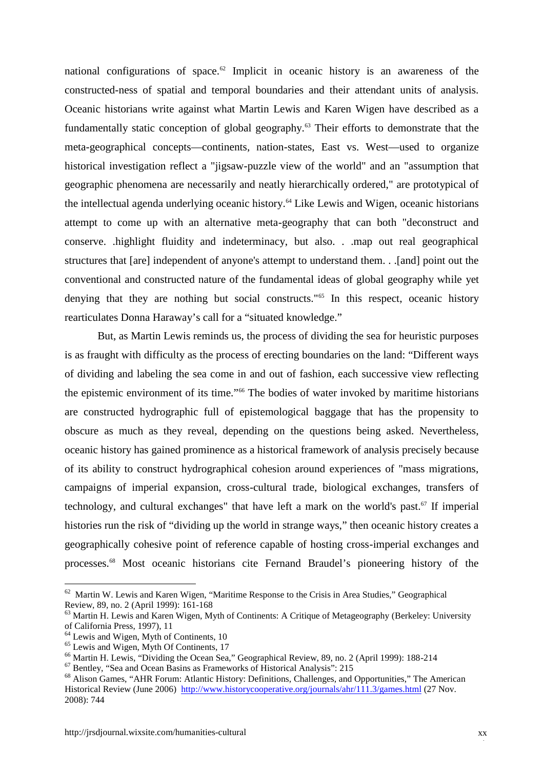national configurations of space.<sup>62</sup> Implicit in oceanic history is an awareness of the constructed-ness of spatial and temporal boundaries and their attendant units of analysis. Oceanic historians write against what Martin Lewis and Karen Wigen have described as a fundamentally static conception of global geography.<sup>63</sup> Their efforts to demonstrate that the meta-geographical concepts—continents, nation-states, East vs. West—used to organize historical investigation reflect a "jigsaw-puzzle view of the world" and an "assumption that geographic phenomena are necessarily and neatly hierarchically ordered," are prototypical of the intellectual agenda underlying oceanic history.<sup>64</sup> Like Lewis and Wigen, oceanic historians attempt to come up with an alternative meta-geography that can both "deconstruct and conserve. .highlight fluidity and indeterminacy, but also. . .map out real geographical structures that [are] independent of anyone's attempt to understand them. . .[and] point out the conventional and constructed nature of the fundamental ideas of global geography while yet denying that they are nothing but social constructs."<sup>65</sup> In this respect, oceanic history rearticulates Donna Haraway's call for a "situated knowledge."

But, as Martin Lewis reminds us, the process of dividing the sea for heuristic purposes is as fraught with difficulty as the process of erecting boundaries on the land: "Different ways of dividing and labeling the sea come in and out of fashion, each successive view reflecting the epistemic environment of its time."<sup>66</sup> The bodies of water invoked by maritime historians are constructed hydrographic full of epistemological baggage that has the propensity to obscure as much as they reveal, depending on the questions being asked. Nevertheless, oceanic history has gained prominence as a historical framework of analysis precisely because of its ability to construct hydrographical cohesion around experiences of "mass migrations, campaigns of imperial expansion, cross-cultural trade, biological exchanges, transfers of technology, and cultural exchanges" that have left a mark on the world's past.<sup>67</sup> If imperial histories run the risk of "dividing up the world in strange ways," then oceanic history creates a geographically cohesive point of reference capable of hosting cross-imperial exchanges and processes.<sup>68</sup> Most oceanic historians cite Fernand Braudel's pioneering history of the

<sup>62</sup> Martin W. Lewis and Karen Wigen, "Maritime Response to the Crisis in Area Studies," Geographical Review, 89, no. 2 (April 1999): 161-168

<sup>&</sup>lt;sup>63</sup> Martin H. Lewis and Karen Wigen, Myth of Continents: A Critique of Metageography (Berkeley: University of California Press, 1997), 11

 $64$  Lewis and Wigen, Myth of Continents, 10

<sup>&</sup>lt;sup>65</sup> Lewis and Wigen, Myth Of Continents, 17

<sup>66</sup> Martin H. Lewis, "Dividing the Ocean Sea," Geographical Review, 89, no. 2 (April 1999): 188-214

<sup>67</sup> Bentley, "Sea and Ocean Basins as Frameworks of Historical Analysis": 215

<sup>&</sup>lt;sup>68</sup> Alison Games, "AHR Forum: Atlantic History: Definitions, Challenges, and Opportunities," The American Historical Review (June 2006) http://www.historycooperative.org/journals/ahr/111.3/games.html (27 Nov. 2008): 744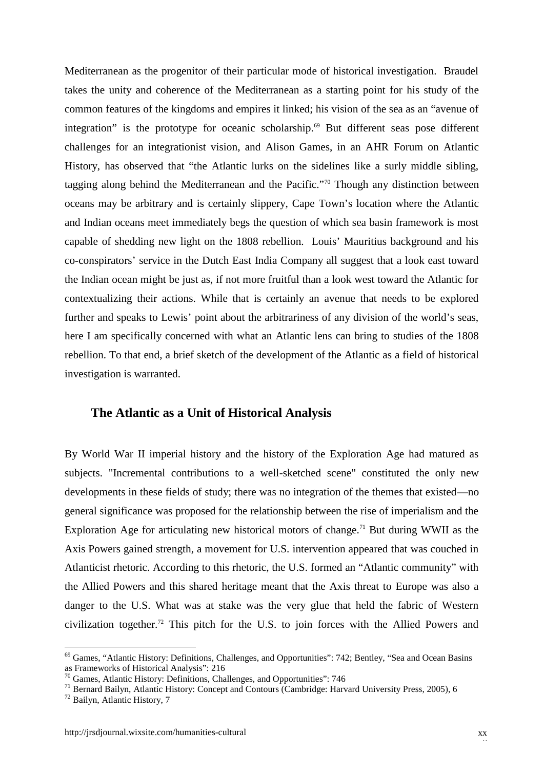Mediterranean as the progenitor of their particular mode of historical investigation. Braudel takes the unity and coherence of the Mediterranean as a starting point for his study of the common features of the kingdoms and empires it linked; his vision of the sea as an "avenue of integration" is the prototype for oceanic scholarship.<sup>69</sup> But different seas pose different challenges for an integrationist vision, and Alison Games, in an AHR Forum on Atlantic History, has observed that "the Atlantic lurks on the sidelines like a surly middle sibling, tagging along behind the Mediterranean and the Pacific."<sup>70</sup> Though any distinction between oceans may be arbitrary and is certainly slippery, Cape Town's location where the Atlantic and Indian oceans meet immediately begs the question of which sea basin framework is most capable of shedding new light on the 1808 rebellion. Louis' Mauritius background and his co-conspirators' service in the Dutch East India Company all suggest that a look east toward the Indian ocean might be just as, if not more fruitful than a look west toward the Atlantic for contextualizing their actions. While that is certainly an avenue that needs to be explored further and speaks to Lewis' point about the arbitrariness of any division of the world's seas, here I am specifically concerned with what an Atlantic lens can bring to studies of the 1808 rebellion. To that end, a brief sketch of the development of the Atlantic as a field of historical investigation is warranted.

#### **The Atlantic as a Unit of Historical Analysis**

By World War II imperial history and the history of the Exploration Age had matured as subjects. "Incremental contributions to a well-sketched scene" constituted the only new developments in these fields of study; there was no integration of the themes that existed—no general significance was proposed for the relationship between the rise of imperialism and the Exploration Age for articulating new historical motors of change.<sup>71</sup> But during WWII as the Axis Powers gained strength, a movement for U.S. intervention appeared that was couched in Atlanticist rhetoric. According to this rhetoric, the U.S. formed an "Atlantic community" with the Allied Powers and this shared heritage meant that the Axis threat to Europe was also a danger to the U.S. What was at stake was the very glue that held the fabric of Western civilization together.<sup>72</sup> This pitch for the U.S. to join forces with the Allied Powers and

<sup>69</sup> Games, "Atlantic History: Definitions, Challenges, and Opportunities": 742; Bentley, "Sea and Ocean Basins as Frameworks of Historical Analysis": 216

<sup>70</sup> Games, Atlantic History: Definitions, Challenges, and Opportunities": 746

<sup>&</sup>lt;sup>71</sup> Bernard Bailyn, Atlantic History: Concept and Contours (Cambridge: Harvard University Press, 2005), 6

<sup>72</sup> Bailyn, Atlantic History, 7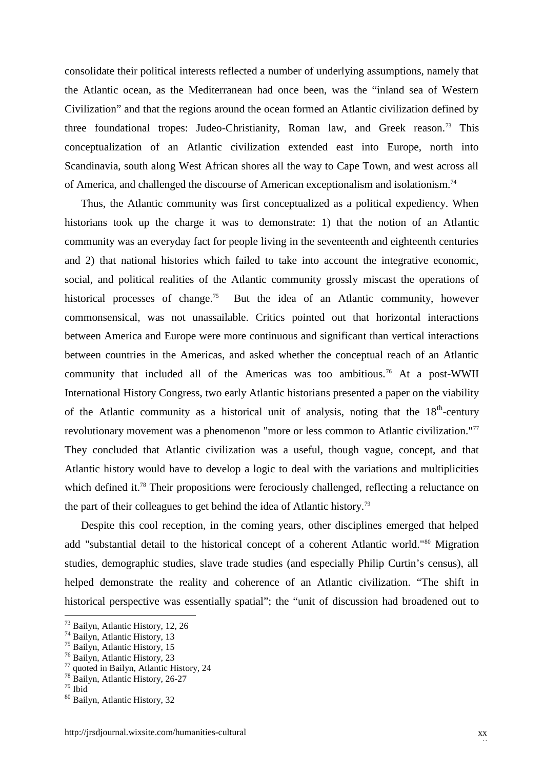consolidate their political interests reflected a number of underlying assumptions, namely that the Atlantic ocean, as the Mediterranean had once been, was the "inland sea of Western Civilization" and that the regions around the ocean formed an Atlantic civilization defined by three foundational tropes: Judeo-Christianity, Roman law, and Greek reason.<sup>73</sup> This conceptualization of an Atlantic civilization extended east into Europe, north into Scandinavia, south along West African shores all the way to Cape Town, and west across all of America, and challenged the discourse of American exceptionalism and isolationism.<sup>74</sup>

Thus, the Atlantic community was first conceptualized as a political expediency. When historians took up the charge it was to demonstrate: 1) that the notion of an Atlantic community was an everyday fact for people living in the seventeenth and eighteenth centuries and 2) that national histories which failed to take into account the integrative economic, social, and political realities of the Atlantic community grossly miscast the operations of historical processes of change.<sup>75</sup> But the idea of an Atlantic community, however commonsensical, was not unassailable. Critics pointed out that horizontal interactions between America and Europe were more continuous and significant than vertical interactions between countries in the Americas, and asked whether the conceptual reach of an Atlantic community that included all of the Americas was too ambitious.<sup>76</sup> At a post-WWII International History Congress, two early Atlantic historians presented a paper on the viability of the Atlantic community as a historical unit of analysis, noting that the 18<sup>th</sup>-century revolutionary movement was a phenomenon "more or less common to Atlantic civilization."<sup>77</sup> They concluded that Atlantic civilization was a useful, though vague, concept, and that Atlantic history would have to develop a logic to deal with the variations and multiplicities which defined it.<sup>78</sup> Their propositions were ferociously challenged, reflecting a reluctance on the part of their colleagues to get behind the idea of Atlantic history.<sup>79</sup>

Despite this cool reception, in the coming years, other disciplines emerged that helped add "substantial detail to the historical concept of a coherent Atlantic world."<sup>80</sup> Migration studies, demographic studies, slave trade studies (and especially Philip Curtin's census), all helped demonstrate the reality and coherence of an Atlantic civilization. "The shift in historical perspective was essentially spatial"; the "unit of discussion had broadened out to

<sup>73</sup> Bailyn, Atlantic History, 12, 26

<sup>74</sup> Bailyn, Atlantic History, 13

 $75$  Bailyn, Atlantic History, 15

<sup>76</sup> Bailyn, Atlantic History, 23

<sup>77</sup> quoted in Bailyn, Atlantic History, 24

<sup>78</sup> Bailyn, Atlantic History, 26-27

<sup>79</sup> Ibid

<sup>80</sup> Bailyn, Atlantic History, 32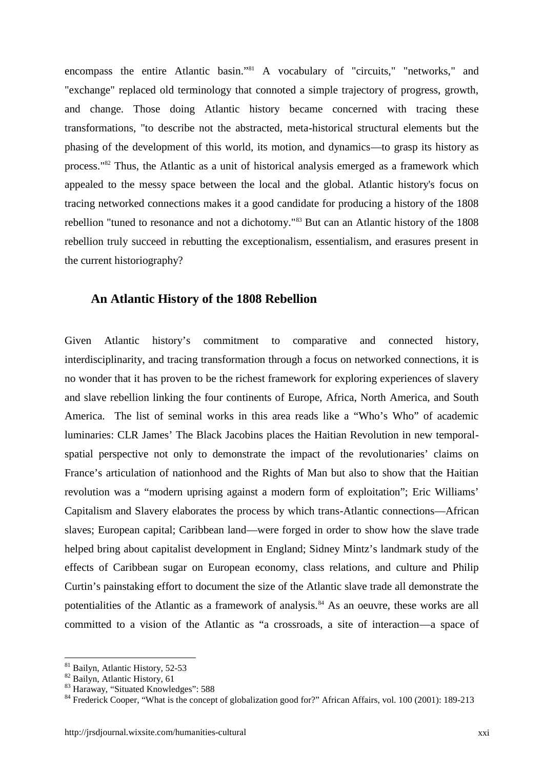encompass the entire Atlantic basin."<sup>81</sup> A vocabulary of "circuits," "networks," and "exchange" replaced old terminology that connoted a simple trajectory of progress, growth, and change. Those doing Atlantic history became concerned with tracing these transformations, "to describe not the abstracted, meta-historical structural elements but the phasing of the development of this world, its motion, and dynamics—to grasp its history as process."<sup>82</sup> Thus, the Atlantic as a unit of historical analysis emerged as a framework which appealed to the messy space between the local and the global. Atlantic history's focus on tracing networked connections makes it a good candidate for producing a history of the 1808 rebellion "tuned to resonance and not a dichotomy."<sup>83</sup> But can an Atlantic history of the 1808 rebellion truly succeed in rebutting the exceptionalism, essentialism, and erasures present in the current historiography?

#### **An Atlantic History of the 1808 Rebellion**

Given Atlantic history's commitment to comparative and connected history, interdisciplinarity, and tracing transformation through a focus on networked connections, it is no wonder that it has proven to be the richest framework for exploring experiences of slavery and slave rebellion linking the four continents of Europe, Africa, North America, and South America. The list of seminal works in this area reads like a "Who's Who" of academic luminaries: CLR James' The Black Jacobins places the Haitian Revolution in new temporal spatial perspective not only to demonstrate the impact of the revolutionaries' claims on France's articulation of nationhood and the Rights of Man but also to show that the Haitian revolution was a "modern uprising against a modern form of exploitation"; Eric Williams' Capitalism and Slavery elaborates the process by which trans-Atlantic connections—African slaves; European capital; Caribbean land—were forged in order to show how the slave trade helped bring about capitalist development in England; Sidney Mintz's landmark study of the effects of Caribbean sugar on European economy, class relations, and culture and Philip Curtin's painstaking effort to document the size of the Atlantic slave trade all demonstrate the potentialities of the Atlantic as a framework of analysis.<sup>84</sup> As an oeuvre, these works are all committed to a vision of the Atlantic as "a crossroads, a site of interaction—a space of

<sup>81</sup> Bailyn, Atlantic History, 52-53

<sup>82</sup> Bailyn, Atlantic History, 61

<sup>83</sup> Haraway, "Situated Knowledges": 588

<sup>&</sup>lt;sup>84</sup> Frederick Cooper, "What is the concept of globalization good for?" African Affairs, vol. 100 (2001): 189-213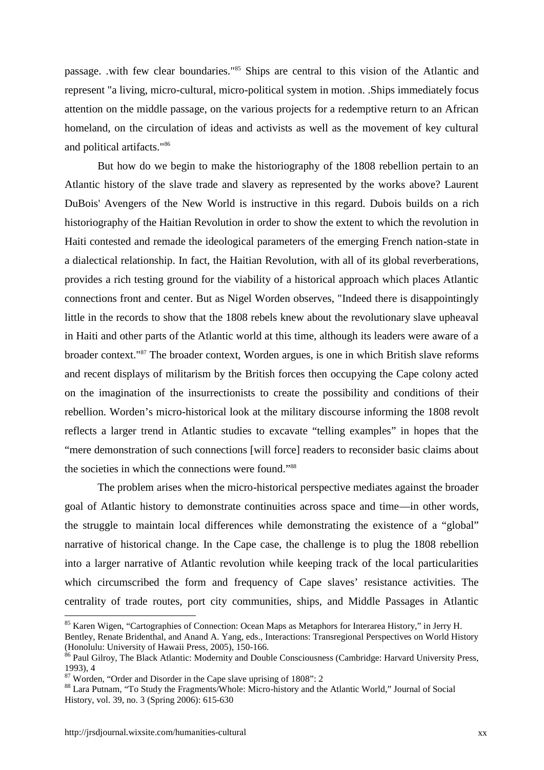passage. .with few clear boundaries."<sup>85</sup> Ships are central to this vision of the Atlantic and represent "a living, micro-cultural, micro-political system in motion. .Ships immediately focus attention on the middle passage, on the various projects for a redemptive return to an African homeland, on the circulation of ideas and activists as well as the movement of key cultural and political artifacts."<sup>86</sup>

But how do we begin to make the historiography of the 1808 rebellion pertain to an Atlantic history of the slave trade and slavery as represented by the works above? Laurent DuBois' Avengers of the New World is instructive in this regard. Dubois builds on a rich historiography of the Haitian Revolution in order to show the extent to which the revolution in Haiti contested and remade the ideological parameters of the emerging French nation-state in a dialectical relationship. In fact, the Haitian Revolution, with all of its global reverberations, provides a rich testing ground for the viability of a historical approach which places Atlantic connections front and center. But as Nigel Worden observes, "Indeed there is disappointingly little in the records to show that the 1808 rebels knew about the revolutionary slave upheaval in Haiti and other parts of the Atlantic world at this time, although its leaders were aware of a broader context."<sup>87</sup> The broader context, Worden argues, is one in which British slave reforms and recent displays of militarism by the British forces then occupying the Cape colony acted on the imagination of the insurrectionists to create the possibility and conditions of their rebellion. Worden's micro-historical look at the military discourse informing the 1808 revolt reflects a larger trend in Atlantic studies to excavate "telling examples" in hopes that the "mere demonstration of such connections [will force] readers to reconsider basic claims about the societies in which the connections were found."88

The problem arises when the micro-historical perspective mediates against the broader goal of Atlantic history to demonstrate continuities across space and time—in other words, the struggle to maintain local differences while demonstrating the existence of a "global" narrative of historical change. In the Cape case, the challenge is to plug the 1808 rebellion into a larger narrative of Atlantic revolution while keeping track of the local particularities which circumscribed the form and frequency of Cape slaves' resistance activities. The centrality of trade routes, port city communities, ships, and Middle Passages in Atlantic

<sup>85</sup> Karen Wigen, "Cartographies of Connection: Ocean Maps as Metaphors for Interarea History," in Jerry H.

Bentley, Renate Bridenthal, and Anand A. Yang, eds., Interactions: Transregional Perspectives on World History<br>(Honolulu: University of Hawaii Press, 2005), 150-166.

<sup>&</sup>lt;sup>86</sup> Paul Gilroy, The Black Atlantic: Modernity and Double Consciousness (Cambridge: Harvard University Press, 1993), 4

<sup>&</sup>lt;sup>87</sup> Worden, "Order and Disorder in the Cape slave uprising of 1808": 2

<sup>88</sup> Lara Putnam, "To Study the Fragments/Whole: Micro-history and the Atlantic World," Journal of Social History, vol. 39, no. 3 (Spring 2006): 615-630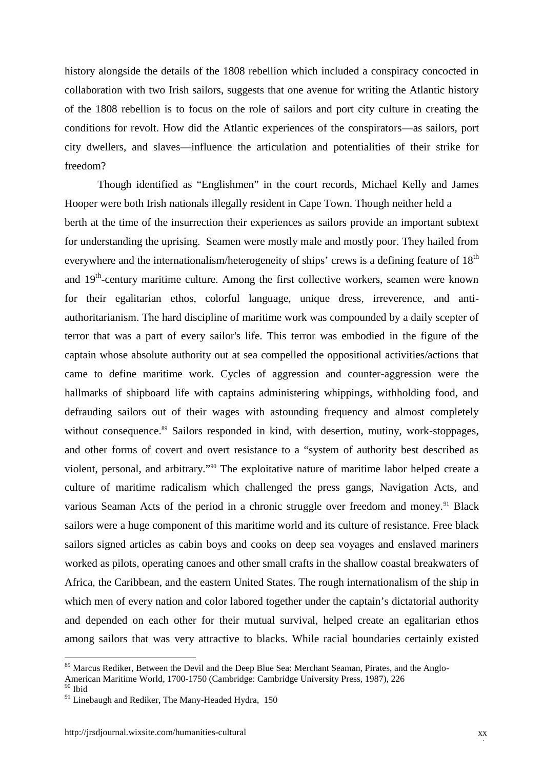history alongside the details of the 1808 rebellion which included a conspiracy concocted in collaboration with two Irish sailors, suggests that one avenue for writing the Atlantic history of the 1808 rebellion is to focus on the role of sailors and port city culture in creating the conditions for revolt. How did the Atlantic experiences of the conspirators—as sailors, port city dwellers, and slaves—influence the articulation and potentialities of their strike for freedom?

Though identified as "Englishmen" in the court records, Michael Kelly and James Hooper were both Irish nationals illegally resident in Cape Town. Though neither held a berth at the time of the insurrection their experiences as sailors provide an important subtext for understanding the uprising. Seamen were mostly male and mostly poor. They hailed from everywhere and the internationalism/heterogeneity of ships' crews is a defining feature of 18<sup>th</sup> and 19<sup>th</sup>-century maritime culture. Among the first collective workers, seamen were known for their egalitarian ethos, colorful language, unique dress, irreverence, and anti authoritarianism. The hard discipline of maritime work was compounded by a daily scepter of terror that was a part of every sailor's life. This terror was embodied in the figure of the captain whose absolute authority out at sea compelled the oppositional activities/actions that came to define maritime work. Cycles of aggression and counter-aggression were the hallmarks of shipboard life with captains administering whippings, withholding food, and defrauding sailors out of their wages with astounding frequency and almost completely without consequence.<sup>89</sup> Sailors responded in kind, with desertion, mutiny, work-stoppages, and other forms of covert and overt resistance to a "system of authority best described as violent, personal, and arbitrary."<sup>90</sup> The exploitative nature of maritime labor helped create a culture of maritime radicalism which challenged the press gangs, Navigation Acts, and various Seaman Acts of the period in a chronic struggle over freedom and money.<sup>91</sup> Black sailors were a huge component of this maritime world and its culture of resistance. Free black sailors signed articles as cabin boys and cooks on deep sea voyages and enslaved mariners worked as pilots, operating canoes and other small crafts in the shallow coastal breakwaters of Africa, the Caribbean, and the eastern United States. The rough internationalism of the ship in which men of every nation and color labored together under the captain's dictatorial authority and depended on each other for their mutual survival, helped create an egalitarian ethos among sailors that was very attractive to blacks. While racial boundaries certainly existed

<sup>&</sup>lt;sup>89</sup> Marcus Rediker, Between the Devil and the Deep Blue Sea: Merchant Seaman, Pirates, and the Anglo-American Maritime World, 1700-1750 (Cambridge: Cambridge University Press, 1987), 226 <sup>90</sup> Ibid

 $91$  Linebaugh and Rediker, The Many-Headed Hydra, 150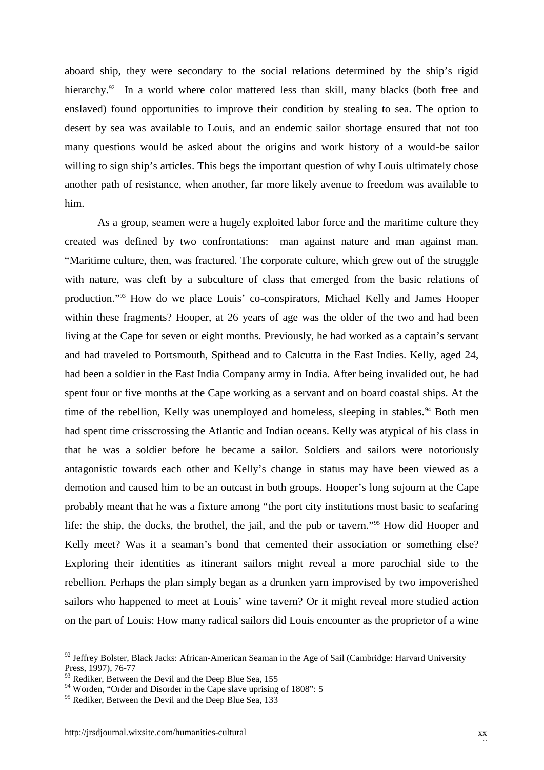aboard ship, they were secondary to the social relations determined by the ship's rigid hierarchy.<sup>92</sup> In a world where color mattered less than skill, many blacks (both free and enslaved) found opportunities to improve their condition by stealing to sea. The option to desert by sea was available to Louis, and an endemic sailor shortage ensured that not too many questions would be asked about the origins and work history of a would-be sailor willing to sign ship's articles. This begs the important question of why Louis ultimately chose another path of resistance, when another, far more likely avenue to freedom was available to him.

As a group, seamen were a hugely exploited labor force and the maritime culture they created was defined by two confrontations: man against nature and man against man. "Maritime culture, then, was fractured. The corporate culture, which grew out of the struggle with nature, was cleft by a subculture of class that emerged from the basic relations of production."<sup>93</sup> How do we place Louis' co-conspirators, Michael Kelly and James Hooper within these fragments? Hooper, at 26 years of age was the older of the two and had been living at the Cape for seven or eight months. Previously, he had worked as a captain's servant and had traveled to Portsmouth, Spithead and to Calcutta in the East Indies. Kelly, aged 24, had been a soldier in the East India Company army in India. After being invalided out, he had spent four or five months at the Cape working as a servant and on board coastal ships. At the time of the rebellion, Kelly was unemployed and homeless, sleeping in stables.<sup>94</sup> Both men had spent time crisscrossing the Atlantic and Indian oceans. Kelly was atypical of his class in that he was a soldier before he became a sailor. Soldiers and sailors were notoriously antagonistic towards each other and Kelly's change in status may have been viewed as a demotion and caused him to be an outcast in both groups. Hooper's long sojourn at the Cape probably meant that he was a fixture among "the port city institutions most basic to seafaring life: the ship, the docks, the brothel, the jail, and the pub or tavern."<sup>95</sup> How did Hooper and Kelly meet? Was it a seaman's bond that cemented their association or something else? Exploring their identities as itinerant sailors might reveal a more parochial side to the rebellion. Perhaps the plan simply began as a drunken yarn improvised by two impoverished sailors who happened to meet at Louis' wine tavern? Or it might reveal more studied action on the part of Louis: How many radical sailors did Louis encounter as the proprietor of a wine

<sup>&</sup>lt;sup>92</sup> Jeffrey Bolster, Black Jacks: African-American Seaman in the Age of Sail (Cambridge: Harvard University Press, 1997), 76-77

<sup>&</sup>lt;sup>93</sup> Rediker, Between the Devil and the Deep Blue Sea, 155

<sup>&</sup>lt;sup>94</sup> Worden, "Order and Disorder in the Cape slave uprising of 1808": 5

<sup>&</sup>lt;sup>95</sup> Rediker, Between the Devil and the Deep Blue Sea, 133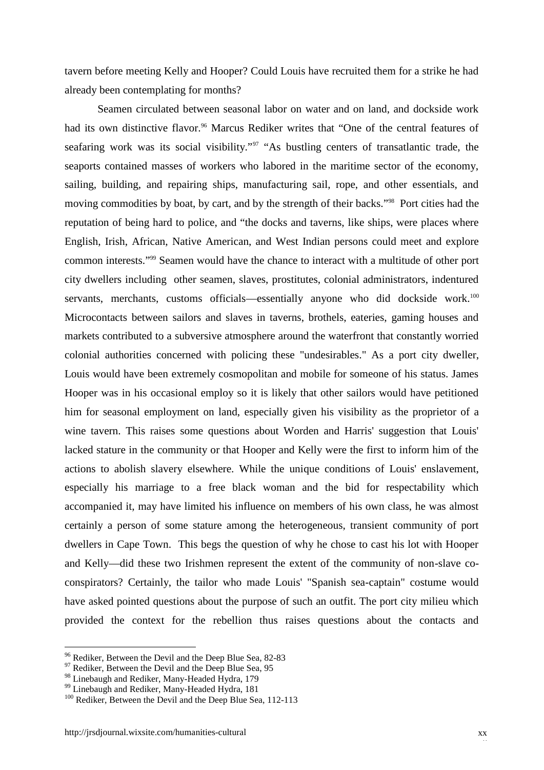tavern before meeting Kelly and Hooper? Could Louis have recruited them for a strike he had already been contemplating for months?

Seamen circulated between seasonal labor on water and on land, and dockside work had its own distinctive flavor.<sup>96</sup> Marcus Rediker writes that "One of the central features of seafaring work was its social visibility."<sup>97</sup> "As bustling centers of transatlantic trade, the seaports contained masses of workers who labored in the maritime sector of the economy, sailing, building, and repairing ships, manufacturing sail, rope, and other essentials, and moving commodities by boat, by cart, and by the strength of their backs."<sup>98</sup> Port cities had the reputation of being hard to police, and "the docks and taverns, like ships, were places where English, Irish, African, Native American, and West Indian persons could meet and explore common interests."<sup>99</sup> Seamen would have the chance to interact with a multitude of other port city dwellers including other seamen, slaves, prostitutes, colonial administrators, indentured servants, merchants, customs officials—essentially anyone who did dockside work.<sup>100</sup> Microcontacts between sailors and slaves in taverns, brothels, eateries, gaming houses and markets contributed to a subversive atmosphere around the waterfront that constantly worried colonial authorities concerned with policing these "undesirables." As a port city dweller, Louis would have been extremely cosmopolitan and mobile for someone of his status. James Hooper was in his occasional employ so it is likely that other sailors would have petitioned him for seasonal employment on land, especially given his visibility as the proprietor of a wine tavern. This raises some questions about Worden and Harris' suggestion that Louis' lacked stature in the community or that Hooper and Kelly were the first to inform him of the actions to abolish slavery elsewhere. While the unique conditions of Louis' enslavement, especially his marriage to a free black woman and the bid for respectability which accompanied it, may have limited his influence on members of his own class, he was almost certainly a person of some stature among the heterogeneous, transient community of port dwellers in Cape Town. This begs the question of why he chose to cast his lot with Hooper and Kelly—did these two Irishmen represent the extent of the community of non-slave co conspirators? Certainly, the tailor who made Louis' "Spanish sea-captain" costume would have asked pointed questions about the purpose of such an outfit. The port city milieu which provided the context for the rebellion thus raises questions about the contacts and

<sup>&</sup>lt;sup>96</sup> Rediker, Between the Devil and the Deep Blue Sea, 82-83

<sup>&</sup>lt;sup>97</sup> Rediker, Between the Devil and the Deep Blue Sea, 95

<sup>98</sup> Linebaugh and Rediker, Many-Headed Hydra, 179

<sup>&</sup>lt;sup>99</sup> Linebaugh and Rediker, Many-Headed Hydra, 181

<sup>&</sup>lt;sup>100</sup> Rediker, Between the Devil and the Deep Blue Sea, 112-113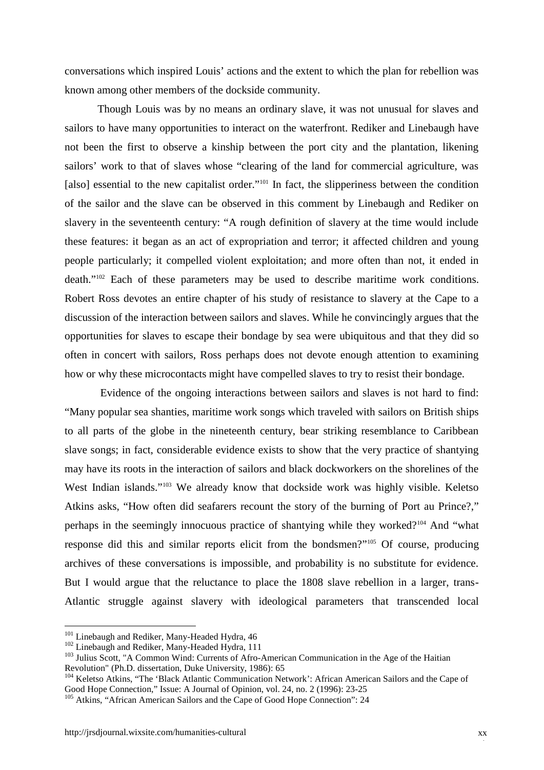conversations which inspired Louis' actions and the extent to which the plan for rebellion was known among other members of the dockside community.

Though Louis was by no means an ordinary slave, it was not unusual for slaves and sailors to have many opportunities to interact on the waterfront. Rediker and Linebaugh have not been the first to observe a kinship between the port city and the plantation, likening sailors' work to that of slaves whose "clearing of the land for commercial agriculture, was [also] essential to the new capitalist order."<sup>101</sup> In fact, the slipperiness between the condition of the sailor and the slave can be observed in this comment by Linebaugh and Rediker on slavery in the seventeenth century: "A rough definition of slavery at the time would include these features: it began as an act of expropriation and terror; it affected children and young people particularly; it compelled violent exploitation; and more often than not, it ended in death."<sup>102</sup> Each of these parameters may be used to describe maritime work conditions. Robert Ross devotes an entire chapter of his study of resistance to slavery at the Cape to a discussion of the interaction between sailors and slaves. While he convincingly argues that the opportunities for slaves to escape their bondage by sea were ubiquitous and that they did so often in concert with sailors, Ross perhaps does not devote enough attention to examining how or why these microcontacts might have compelled slaves to try to resist their bondage.

Evidence of the ongoing interactions between sailors and slaves is not hard to find: "Many popular sea shanties, maritime work songs which traveled with sailors on British ships to all parts of the globe in the nineteenth century, bear striking resemblance to Caribbean slave songs; in fact, considerable evidence exists to show that the very practice of shantying may have its roots in the interaction of sailors and black dockworkers on the shorelines of the West Indian islands."<sup>103</sup> We already know that dockside work was highly visible. Keletso Atkins asks, "How often did seafarers recount the story of the burning of Port au Prince?," perhaps in the seemingly innocuous practice of shantying while they worked?<sup>104</sup> And "what response did this and similar reports elicit from the bondsmen?"<sup>105</sup> Of course, producing archives of these conversations is impossible, and probability is no substitute for evidence. But I would argue that the reluctance to place the 1808 slave rebellion in a larger, trans- Atlantic struggle against slavery with ideological parameters that transcended local

<sup>&</sup>lt;sup>101</sup> Linebaugh and Rediker, Many-Headed Hydra, 46

<sup>&</sup>lt;sup>102</sup> Linebaugh and Rediker, Many-Headed Hydra, 111

<sup>&</sup>lt;sup>103</sup> Julius Scott, "A Common Wind: Currents of Afro-American Communication in the Age of the Haitian Revolution" (Ph.D. dissertation, Duke University, 1986): 65

<sup>&</sup>lt;sup>104</sup> Keletso Atkins, "The 'Black Atlantic Communication Network': African American Sailors and the Cape of Good Hope Connection," Issue: A Journal of Opinion, vol. 24, no. 2 (1996): 23-25

<sup>&</sup>lt;sup>105</sup> Atkins, "African American Sailors and the Cape of Good Hope Connection": 24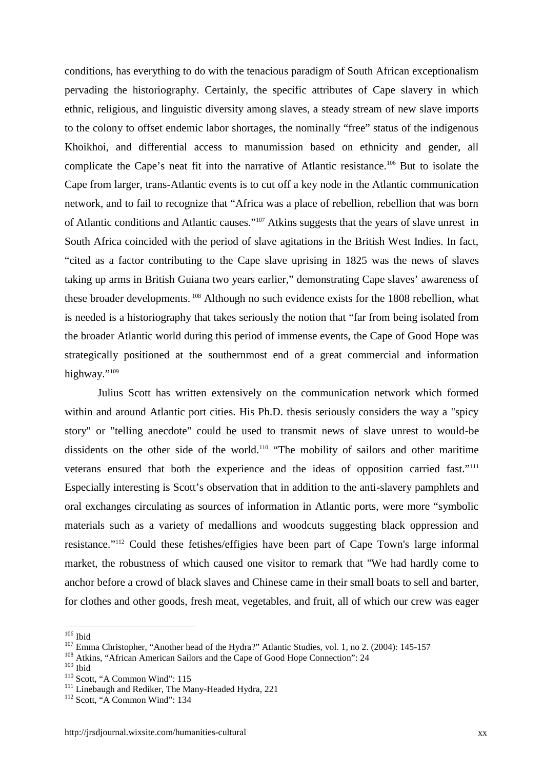conditions, has everything to do with the tenacious paradigm of South African exceptionalism pervading the historiography. Certainly, the specific attributes of Cape slavery in which ethnic, religious, and linguistic diversity among slaves, a steady stream of new slave imports to the colony to offset endemic labor shortages, the nominally "free" status of the indigenous Khoikhoi, and differential access to manumission based on ethnicity and gender, all complicate the Cape's neat fit into the narrative of Atlantic resistance.<sup>106</sup> But to isolate the Cape from larger, trans-Atlantic events is to cut off a key node in the Atlantic communication network, and to fail to recognize that "Africa was a place of rebellion, rebellion that was born of Atlantic conditions and Atlantic causes."<sup>107</sup> Atkins suggests that the years of slave unrest in South Africa coincided with the period of slave agitations in the British West Indies. In fact, "cited as a factor contributing to the Cape slave uprising in 1825 was the news of slaves taking up arms in British Guiana two years earlier," demonstrating Cape slaves' awareness of these broader developments. <sup>108</sup> Although no such evidence exists for the 1808 rebellion, what is needed is a historiography that takes seriously the notion that "far from being isolated from the broader Atlantic world during this period of immense events, the Cape of Good Hope was strategically positioned at the southernmost end of a great commercial and information highway."<sup>109</sup>

Julius Scott has written extensively on the communication network which formed within and around Atlantic port cities. His Ph.D. thesis seriously considers the way a "spicy story" or "telling anecdote" could be used to transmit news of slave unrest to would-be dissidents on the other side of the world.<sup>110</sup> "The mobility of sailors and other maritime veterans ensured that both the experience and the ideas of opposition carried fast."<sup>111</sup> Especially interesting is Scott's observation that in addition to the anti-slavery pamphlets and oral exchanges circulating as sources of information in Atlantic ports, were more "symbolic materials such as a variety of medallions and woodcuts suggesting black oppression and resistance."<sup>112</sup> Could these fetishes/effigies have been part of Cape Town's large informal market, the robustness of which caused one visitor to remark that "We had hardly come to anchor before a crowd of black slaves and Chinese came in their small boats to sell and barter, for clothes and other goods, fresh meat, vegetables, and fruit, all of which our crew was eager

 $109$  Ibid

 $106$  Ibid

<sup>&</sup>lt;sup>107</sup> Emma Christopher, "Another head of the Hydra?" Atlantic Studies, vol. 1, no 2. (2004): 145-157

<sup>&</sup>lt;sup>108</sup> Atkins, "African American Sailors and the Cape of Good Hope Connection": 24

<sup>&</sup>lt;sup>110</sup> Scott, "A Common Wind": 115

<sup>&</sup>lt;sup>111</sup> Linebaugh and Rediker, The Many-Headed Hydra, 221

 $112$  Scott, "A Common Wind": 134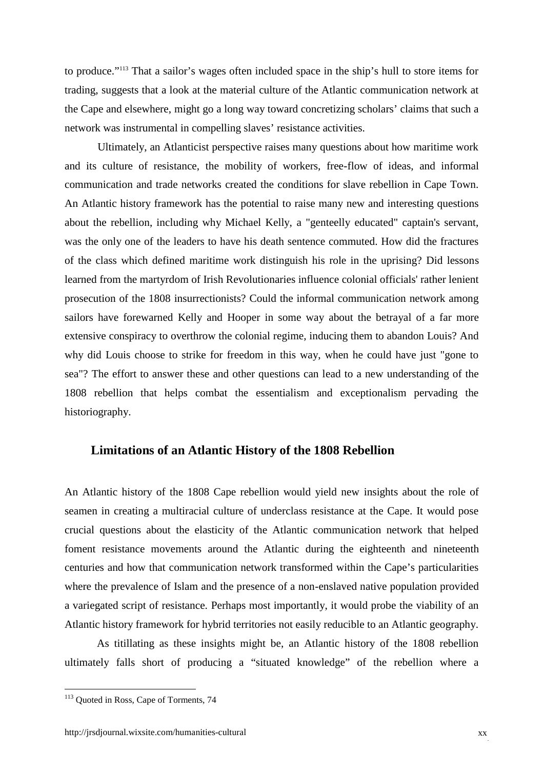to produce."<sup>113</sup> That a sailor's wages often included space in the ship's hull to store items for trading, suggests that a look at the material culture of the Atlantic communication network at the Cape and elsewhere, might go a long way toward concretizing scholars' claims that such a network was instrumental in compelling slaves' resistance activities.

Ultimately, an Atlanticist perspective raises many questions about how maritime work and its culture of resistance, the mobility of workers, free-flow of ideas, and informal communication and trade networks created the conditions for slave rebellion in Cape Town. An Atlantic history framework has the potential to raise many new and interesting questions about the rebellion, including why Michael Kelly, a "genteelly educated" captain's servant, was the only one of the leaders to have his death sentence commuted. How did the fractures of the class which defined maritime work distinguish his role in the uprising? Did lessons learned from the martyrdom of Irish Revolutionaries influence colonial officials' rather lenient prosecution of the 1808 insurrectionists? Could the informal communication network among sailors have forewarned Kelly and Hooper in some way about the betrayal of a far more extensive conspiracy to overthrow the colonial regime, inducing them to abandon Louis? And why did Louis choose to strike for freedom in this way, when he could have just "gone to sea"? The effort to answer these and other questions can lead to a new understanding of the 1808 rebellion that helps combat the essentialism and exceptionalism pervading the historiography.

#### **Limitations of an Atlantic History of the 1808 Rebellion**

An Atlantic history of the 1808 Cape rebellion would yield new insights about the role of seamen in creating a multiracial culture of underclass resistance at the Cape. It would pose crucial questions about the elasticity of the Atlantic communication network that helped foment resistance movements around the Atlantic during the eighteenth and nineteenth centuries and how that communication network transformed within the Cape's particularities where the prevalence of Islam and the presence of a non-enslaved native population provided a variegated script of resistance. Perhaps most importantly, it would probe the viability of an Atlantic history framework for hybrid territories not easily reducible to an Atlantic geography.

As titillating as these insights might be, an Atlantic history of the 1808 rebellion ultimately falls short of producing a "situated knowledge" of the rebellion where a

<sup>&</sup>lt;sup>113</sup> Quoted in Ross, Cape of Torments, 74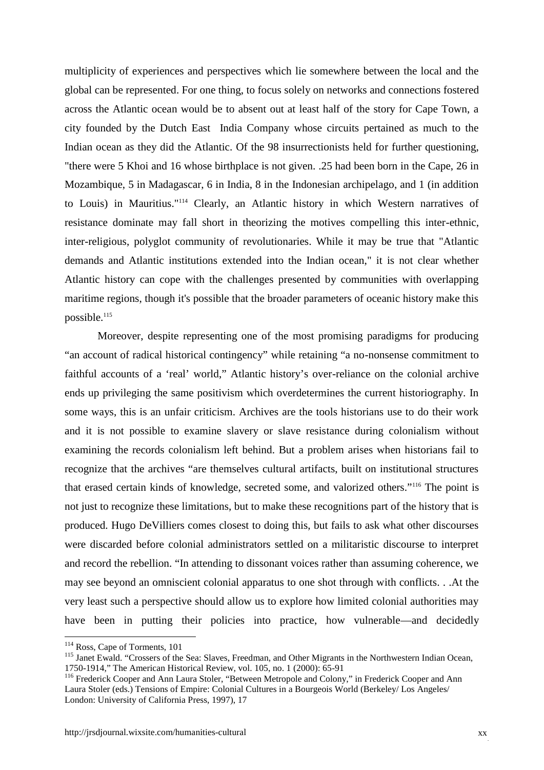multiplicity of experiences and perspectives which lie somewhere between the local and the global can be represented. For one thing, to focus solely on networks and connections fostered across the Atlantic ocean would be to absent out at least half of the story for Cape Town, a city founded by the Dutch East India Company whose circuits pertained as much to the Indian ocean as they did the Atlantic. Of the 98 insurrectionists held for further questioning, "there were 5 Khoi and 16 whose birthplace is not given. .25 had been born in the Cape, 26 in Mozambique, 5 in Madagascar, 6 in India, 8 in the Indonesian archipelago, and 1 (in addition to Louis) in Mauritius."<sup>114</sup> Clearly, an Atlantic history in which Western narratives of resistance dominate may fall short in theorizing the motives compelling this inter-ethnic, inter-religious, polyglot community of revolutionaries. While it may be true that "Atlantic demands and Atlantic institutions extended into the Indian ocean," it is not clear whether Atlantic history can cope with the challenges presented by communities with overlapping maritime regions, though it's possible that the broader parameters of oceanic history make this possible.<sup>115</sup>

Moreover, despite representing one of the most promising paradigms for producing "an account of radical historical contingency" while retaining "a no-nonsense commitment to faithful accounts of a 'real' world," Atlantic history's over-reliance on the colonial archive ends up privileging the same positivism which overdetermines the current historiography. In some ways, this is an unfair criticism. Archives are the tools historians use to do their work and it is not possible to examine slavery or slave resistance during colonialism without examining the records colonialism left behind. But a problem arises when historians fail to recognize that the archives "are themselves cultural artifacts, built on institutional structures that erased certain kinds of knowledge, secreted some, and valorized others."<sup>116</sup> The point is not just to recognize these limitations, but to make these recognitions part of the history that is produced. Hugo DeVilliers comes closest to doing this, but fails to ask what other discourses were discarded before colonial administrators settled on a militaristic discourse to interpret and record the rebellion. "In attending to dissonant voices rather than assuming coherence, we may see beyond an omniscient colonial apparatus to one shot through with conflicts. . .At the very least such a perspective should allow us to explore how limited colonial authorities may have been in putting their policies into practice, how vulnerable—and decidedly

<sup>&</sup>lt;sup>114</sup> Ross, Cape of Torments, 101

<sup>&</sup>lt;sup>115</sup> Janet Ewald. "Crossers of the Sea: Slaves, Freedman, and Other Migrants in the Northwestern Indian Ocean, 1750-1914," The American Historical Review, vol. 105, no. 1 (2000): 65-91

<sup>&</sup>lt;sup>116</sup> Frederick Cooper and Ann Laura Stoler, "Between Metropole and Colony," in Frederick Cooper and Ann Laura Stoler (eds.) Tensions of Empire: Colonial Cultures in a Bourgeois World (Berkeley/ Los Angeles/ London: University of California Press, 1997), 17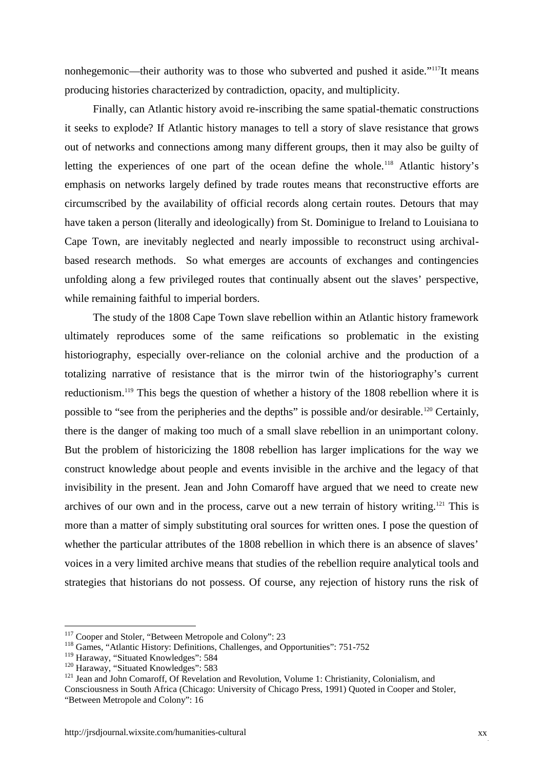nonhegemonic—their authority was to those who subverted and pushed it aside."<sup>117</sup>It means producing histories characterized by contradiction, opacity, and multiplicity.

Finally, can Atlantic history avoid re-inscribing the same spatial-thematic constructions it seeks to explode? If Atlantic history manages to tell a story of slave resistance that grows out of networks and connections among many different groups, then it may also be guilty of letting the experiences of one part of the ocean define the whole.<sup>118</sup> Atlantic history's emphasis on networks largely defined by trade routes means that reconstructive efforts are circumscribed by the availability of official records along certain routes. Detours that may have taken a person (literally and ideologically) from St. Dominigue to Ireland to Louisiana to Cape Town, are inevitably neglected and nearly impossible to reconstruct using archival based research methods. So what emerges are accounts of exchanges and contingencies unfolding along a few privileged routes that continually absent out the slaves' perspective, while remaining faithful to imperial borders.

The study of the 1808 Cape Town slave rebellion within an Atlantic history framework ultimately reproduces some of the same reifications so problematic in the existing historiography, especially over-reliance on the colonial archive and the production of a totalizing narrative of resistance that is the mirror twin of the historiography's current reductionism.<sup>119</sup> This begs the question of whether a history of the 1808 rebellion where it is possible to "see from the peripheries and the depths" is possible and/or desirable.<sup>120</sup> Certainly, there is the danger of making too much of a small slave rebellion in an unimportant colony. But the problem of historicizing the 1808 rebellion has larger implications for the way we construct knowledge about people and events invisible in the archive and the legacy of that invisibility in the present. Jean and John Comaroff have argued that we need to create new archives of our own and in the process, carve out a new terrain of history writing.<sup>121</sup> This is more than a matter of simply substituting oral sources for written ones. I pose the question of whether the particular attributes of the 1808 rebellion in which there is an absence of slaves' voices in a very limited archive means that studies of the rebellion require analytical tools and strategies that historians do not possess. Of course, any rejection of history runs the risk of

<sup>&</sup>lt;sup>117</sup> Cooper and Stoler, "Between Metropole and Colony": 23

<sup>&</sup>lt;sup>118</sup> Games, "Atlantic History: Definitions, Challenges, and Opportunities": 751-752

<sup>&</sup>lt;sup>119</sup> Haraway, "Situated Knowledges": 584

<sup>&</sup>lt;sup>120</sup> Haraway, "Situated Knowledges": 583

<sup>&</sup>lt;sup>121</sup> Jean and John Comaroff, Of Revelation and Revolution, Volume 1: Christianity, Colonialism, and

Consciousness in South Africa (Chicago: University of Chicago Press, 1991) Quoted in Cooper and Stoler, "Between Metropole and Colony": 16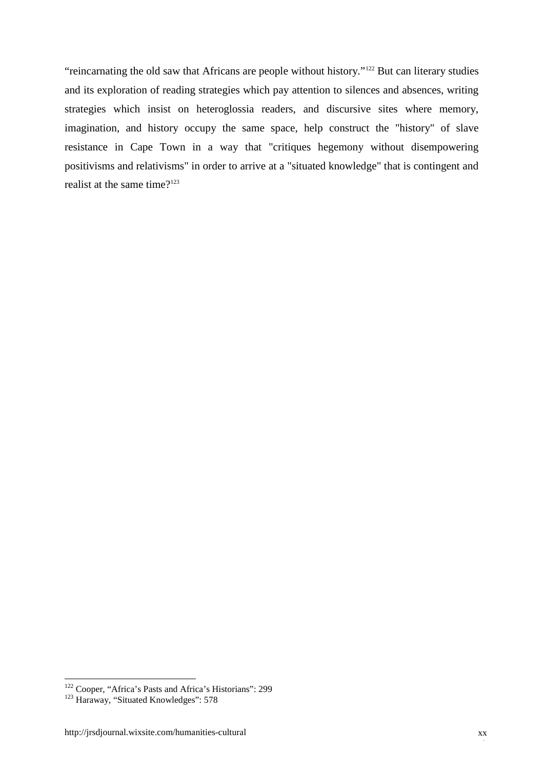"reincarnating the old saw that Africans are people without history."<sup>122</sup> But can literary studies and its exploration of reading strategies which pay attention to silences and absences, writing strategies which insist on heteroglossia readers, and discursive sites where memory, imagination, and history occupy the same space, help construct the "history" of slave resistance in Cape Town in a way that "critiques hegemony without disempowering positivisms and relativisms" in order to arrive at a "situated knowledge" that is contingent and realist at the same time?<sup>123</sup>

<sup>&</sup>lt;sup>122</sup> Cooper, "Africa's Pasts and Africa's Historians": 299

<sup>&</sup>lt;sup>123</sup> Haraway, "Situated Knowledges": 578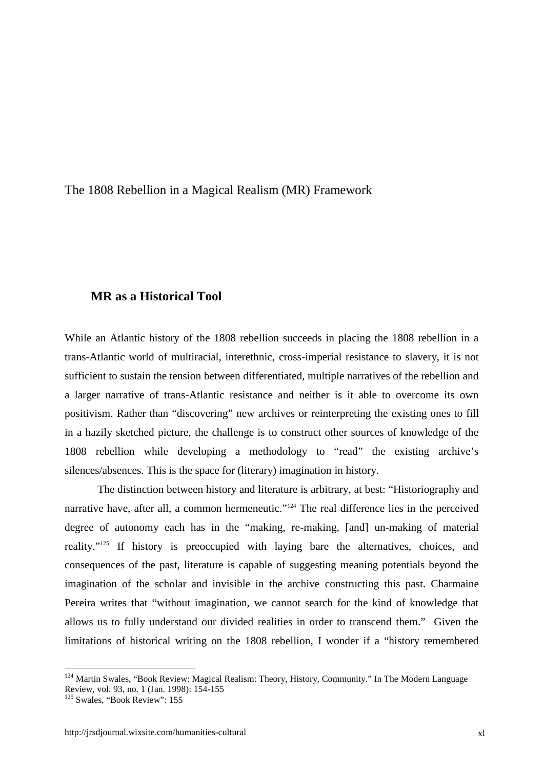The 1808 Rebellion in a Magical Realism (MR) Framework

#### **MR as a Historical Tool**

While an Atlantic history of the 1808 rebellion succeeds in placing the 1808 rebellion in a trans-Atlantic world of multiracial, interethnic, cross-imperial resistance to slavery, it is not sufficient to sustain the tension between differentiated, multiple narratives of the rebellion and a larger narrative of trans-Atlantic resistance and neither is it able to overcome its own positivism. Rather than "discovering" new archives or reinterpreting the existing ones to fill in a hazily sketched picture, the challenge is to construct other sources of knowledge of the 1808 rebellion while developing a methodology to "read" the existing archive's silences/absences. This is the space for (literary) imagination in history.

The distinction between history and literature is arbitrary, at best: "Historiography and narrative have, after all, a common hermeneutic."<sup>124</sup> The real difference lies in the perceived degree of autonomy each has in the "making, re-making, [and] un-making of material reality."<sup>125</sup> If history is preoccupied with laying bare the alternatives, choices, and consequences of the past, literature is capable of suggesting meaning potentials beyond the imagination of the scholar and invisible in the archive constructing this past. Charmaine Pereira writes that "without imagination, we cannot search for the kind of knowledge that allows us to fully understand our divided realities in order to transcend them." Given the limitations of historical writing on the 1808 rebellion, I wonder if a "history remembered

<sup>&</sup>lt;sup>124</sup> Martin Swales, "Book Review: Magical Realism: Theory, History, Community." In The Modern Language Review, vol. 93, no. 1 (Jan. 1998): 154-155

<sup>&</sup>lt;sup>125</sup> Swales, "Book Review": 155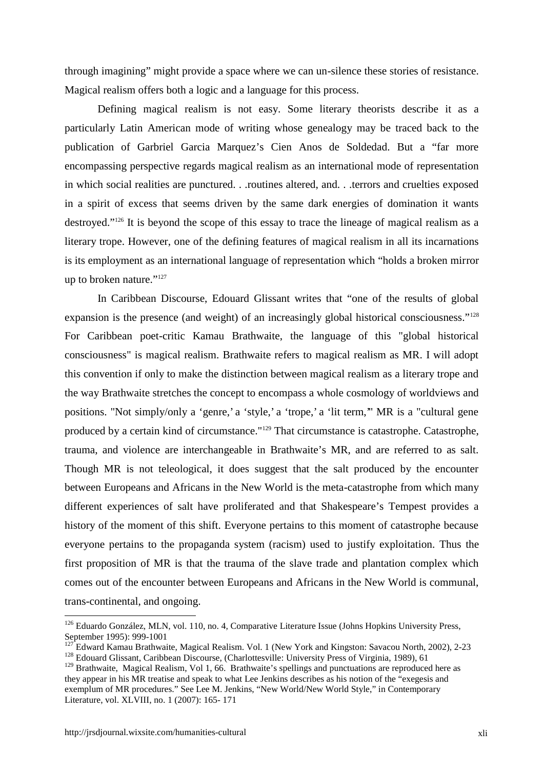through imagining" might provide a space where we can un-silence these stories of resistance. Magical realism offers both a logic and a language for this process.

Defining magical realism is not easy. Some literary theorists describe it as a particularly Latin American mode of writing whose genealogy may be traced back to the publication of Garbriel Garcia Marquez's Cien Anos de Soldedad. But a "far more encompassing perspective regards magical realism as an international mode of representation in which social realities are punctured. . .routines altered, and. . .terrors and cruelties exposed in a spirit of excess that seems driven by the same dark energies of domination it wants destroyed."<sup>126</sup> It is beyond the scope of this essay to trace the lineage of magical realism as a literary trope. However, one of the defining features of magical realism in all its incarnations is its employment as an international language of representation which "holds a broken mirror up to broken nature."<sup>127</sup>

In Caribbean Discourse, Edouard Glissant writes that "one of the results of global expansion is the presence (and weight) of an increasingly global historical consciousness."<sup>128</sup> For Caribbean poet-critic Kamau Brathwaite, the language of this "global historical consciousness" is magical realism. Brathwaite refers to magical realism as MR. I will adopt this convention if only to make the distinction between magical realism as a literary trope and the way Brathwaite stretches the concept to encompass a whole cosmology of worldviews and positions. "Not simply/only a 'genre,' a 'style,' a 'trope,' a 'lit term,'" MR is a "cultural gene produced by a certain kind of circumstance."<sup>129</sup> That circumstance is catastrophe. Catastrophe, trauma, and violence are interchangeable in Brathwaite's MR, and are referred to as salt. Though MR is not teleological, it does suggest that the salt produced by the encounter between Europeans and Africans in the New World is the meta-catastrophe from which many different experiences of salt have proliferated and that Shakespeare's Tempest provides a history of the moment of this shift. Everyone pertains to this moment of catastrophe because everyone pertains to the propaganda system (racism) used to justify exploitation. Thus the first proposition of MR is that the trauma of the slave trade and plantation complex which comes out of the encounter between Europeans and Africans in the New World is communal, trans-continental, and ongoing.

<sup>&</sup>lt;sup>126</sup> Eduardo González, MLN, vol. 110, no. 4, Comparative Literature Issue (Johns Hopkins University Press, September 1995): 999-1001

<sup>127</sup> Edward Kamau Brathwaite, Magical Realism. Vol. 1 (New York and Kingston: Savacou North, 2002), 2-23

<sup>&</sup>lt;sup>128</sup> Edouard Glissant, Caribbean Discourse, (Charlottesville: University Press of Virginia, 1989), 61

<sup>&</sup>lt;sup>129</sup> Brathwaite, Magical Realism, Vol 1, 66. Brathwaite's spellings and punctuations are reproduced here as they appear in his MR treatise and speak to what Lee Jenkins describes as his notion of the "exegesis and exemplum of MR procedures." See Lee M. Jenkins, "New World/New World Style," in Contemporary Literature, vol. XLVIII, no. 1 (2007): 165- 171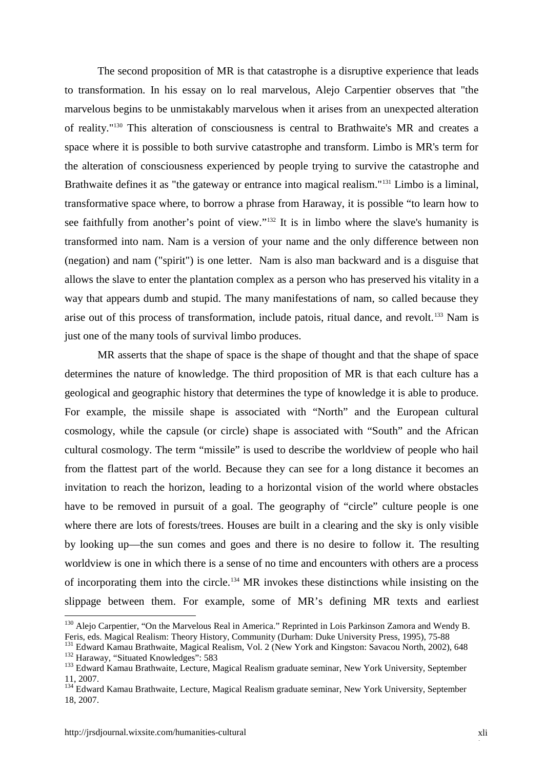The second proposition of MR is that catastrophe is a disruptive experience that leads to transformation. In his essay on lo real marvelous, Alejo Carpentier observes that "the marvelous begins to be unmistakably marvelous when it arises from an unexpected alteration of reality."<sup>130</sup> This alteration of consciousness is central to Brathwaite's MR and creates a space where it is possible to both survive catastrophe and transform. Limbo is MR's term for the alteration of consciousness experienced by people trying to survive the catastrophe and Brathwaite defines it as "the gateway or entrance into magical realism."<sup>131</sup> Limbo is a liminal, transformative space where, to borrow a phrase from Haraway, it is possible "to learn how to see faithfully from another's point of view."<sup>132</sup> It is in limbo where the slave's humanity is transformed into nam. Nam is a version of your name and the only difference between non (negation) and nam ("spirit") is one letter. Nam is also man backward and is a disguise that allows the slave to enter the plantation complex as a person who has preserved his vitality in a way that appears dumb and stupid. The many manifestations of nam, so called because they arise out of this process of transformation, include patois, ritual dance, and revolt.<sup>133</sup> Nam is just one of the many tools of survival limbo produces.

MR asserts that the shape of space is the shape of thought and that the shape of space determines the nature of knowledge. The third proposition of MR is that each culture has a geological and geographic history that determines the type of knowledge it is able to produce. For example, the missile shape is associated with "North" and the European cultural cosmology, while the capsule (or circle) shape is associated with "South" and the African cultural cosmology. The term "missile" is used to describe the worldview of people who hail from the flattest part of the world. Because they can see for a long distance it becomes an invitation to reach the horizon, leading to a horizontal vision of the world where obstacles have to be removed in pursuit of a goal. The geography of "circle" culture people is one where there are lots of forests/trees. Houses are built in a clearing and the sky is only visible by looking up—the sun comes and goes and there is no desire to follow it. The resulting worldview is one in which there is a sense of no time and encounters with others are a process of incorporating them into the circle.<sup>134</sup> MR invokes these distinctions while insisting on the slippage between them. For example, some of MR's defining MR texts and earliest

<sup>&</sup>lt;sup>130</sup> Aleio Carpentier, "On the Marvelous Real in America." Reprinted in Lois Parkinson Zamora and Wendy B. Feris, eds. Magical Realism: Theory History, Community (Durham: Duke University Press, 1995), 75-88

<sup>&</sup>lt;sup>131</sup> Edward Kamau Brathwaite, Magical Realism, Vol. 2 (New York and Kingston: Savacou North, 2002), 648

<sup>&</sup>lt;sup>132</sup> Haraway, "Situated Knowledges": 583

<sup>&</sup>lt;sup>133</sup> Edward Kamau Brathwaite, Lecture, Magical Realism graduate seminar, New York University, September 11, 2007.

<sup>&</sup>lt;sup>134</sup> Edward Kamau Brathwaite, Lecture, Magical Realism graduate seminar, New York University, September 18, 2007.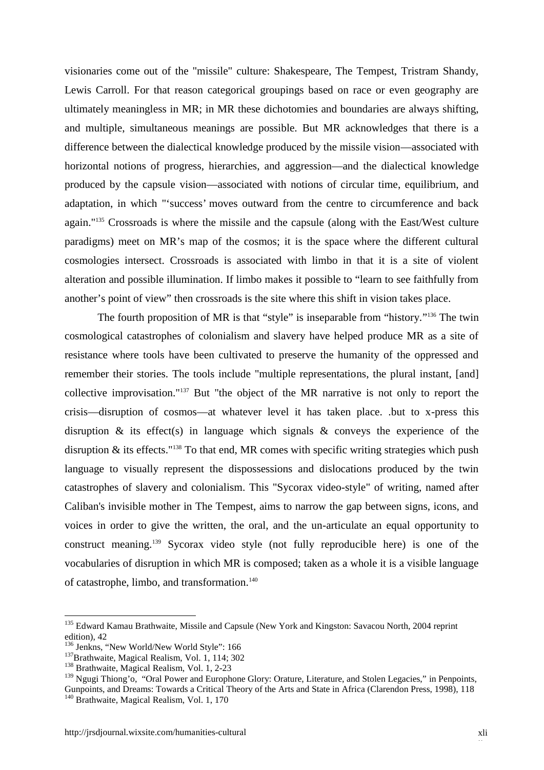visionaries come out of the "missile" culture: Shakespeare, The Tempest, Tristram Shandy, Lewis Carroll. For that reason categorical groupings based on race or even geography are ultimately meaningless in MR; in MR these dichotomies and boundaries are always shifting, and multiple, simultaneous meanings are possible. But MR acknowledges that there is a difference between the dialectical knowledge produced by the missile vision—associated with horizontal notions of progress, hierarchies, and aggression—and the dialectical knowledge produced by the capsule vision—associated with notions of circular time, equilibrium, and adaptation, in which "'success' moves outward from the centre to circumference and back again."<sup>135</sup> Crossroads is where the missile and the capsule (along with the East/West culture paradigms) meet on MR's map of the cosmos; it is the space where the different cultural cosmologies intersect. Crossroads is associated with limbo in that it is a site of violent alteration and possible illumination. If limbo makes it possible to "learn to see faithfully from another's point of view" then crossroads is the site where this shift in vision takes place.

The fourth proposition of MR is that "style" is inseparable from "history."<sup>136</sup> The twin cosmological catastrophes of colonialism and slavery have helped produce MR as a site of resistance where tools have been cultivated to preserve the humanity of the oppressed and remember their stories. The tools include "multiple representations, the plural instant, [and] collective improvisation."<sup>137</sup> But "the object of the MR narrative is not only to report the crisis—disruption of cosmos—at whatever level it has taken place. .but to x-press this disruption  $\&$  its effect(s) in language which signals  $\&$  conveys the experience of the disruption & its effects."<sup>138</sup> To that end, MR comes with specific writing strategies which push language to visually represent the dispossessions and dislocations produced by the twin catastrophes of slavery and colonialism. This "Sycorax video-style" of writing, named after Caliban's invisible mother in The Tempest, aims to narrow the gap between signs, icons, and voices in order to give the written, the oral, and the un-articulate an equal opportunity to construct meaning.<sup>139</sup> Sycorax video style (not fully reproducible here) is one of the vocabularies of disruption in which MR is composed; taken as a whole it is a visible language of catastrophe, limbo, and transformation.<sup>140</sup>

<sup>&</sup>lt;sup>135</sup> Edward Kamau Brathwaite, Missile and Capsule (New York and Kingston: Savacou North, 2004 reprint edition), 42

<sup>&</sup>lt;sup>136</sup> Jenkns, "New World/New World Style": 166

<sup>&</sup>lt;sup>137</sup>Brathwaite, Magical Realism, Vol. 1, 114; 302

<sup>&</sup>lt;sup>138</sup> Brathwaite, Magical Realism, Vol. 1, 2-23

<sup>&</sup>lt;sup>139</sup> Ngugi Thiong'o, "Oral Power and Europhone Glory: Orature, Literature, and Stolen Legacies," in Penpoints, Gunpoints, and Dreams: Towards a Critical Theory of the Arts and State in Africa (Clarendon Press, 1998), 118

<sup>&</sup>lt;sup>140</sup> Brathwaite, Magical Realism, Vol. 1, 170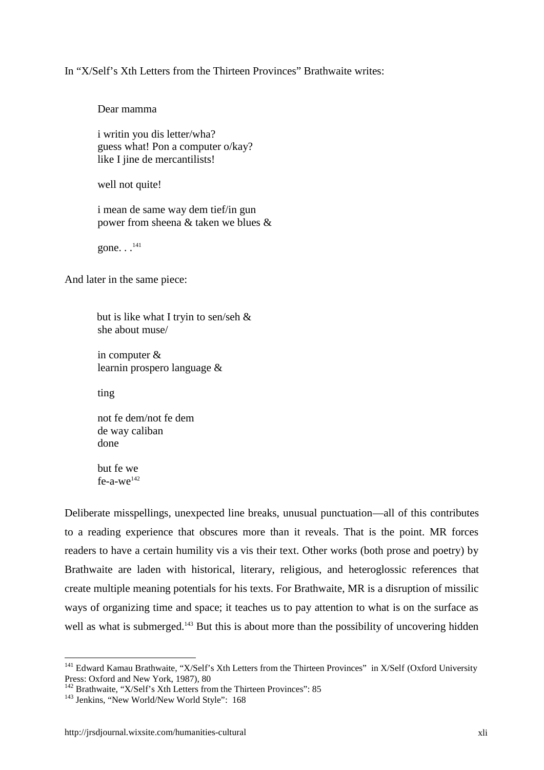#### In "X/Self's Xth Letters from the Thirteen Provinces" Brathwaite writes:

Dear mamma

i writin you dis letter/wha? guess what! Pon a computer o/kay? like I jine de mercantilists!

well not quite!

i mean de same way dem tief/in gun power from sheena & taken we blues &

gone.  $\cdot$ .  $^{141}$ 

And later in the same piece:

but is like what I tryin to sen/seh & she about muse/

in computer & learnin prospero language &

ting

not fe dem/not fe dem de way caliban done

but fe we  $fe-a-we^{142}$ 

Deliberate misspellings, unexpected line breaks, unusual punctuation—all of this contributes to a reading experience that obscures more than it reveals. That is the point. MR forces readers to have a certain humility vis a vis their text. Other works (both prose and poetry) by Brathwaite are laden with historical, literary, religious, and heteroglossic references that create multiple meaning potentials for his texts. For Brathwaite, MR is a disruption of missilic ways of organizing time and space; it teaches us to pay attention to what is on the surface as well as what is submerged.<sup>143</sup> But this is about more than the possibility of uncovering hidden

<sup>&</sup>lt;sup>141</sup> Edward Kamau Brathwaite, "X/Self's Xth Letters from the Thirteen Provinces" in X/Self (Oxford University Press: Oxford and New York, 1987), 80

<sup>&</sup>lt;sup>142</sup> Brathwaite, "X/Self's Xth Letters from the Thirteen Provinces": 85

<sup>&</sup>lt;sup>143</sup> Jenkins, "New World/New World Style": 168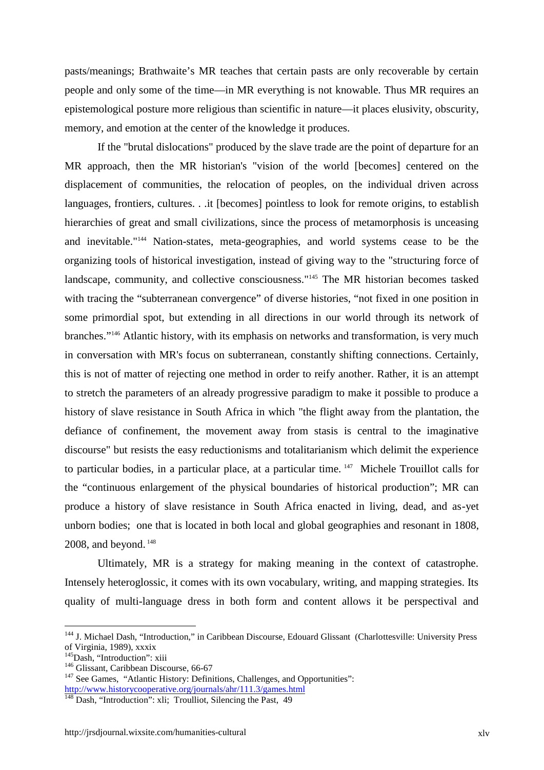pasts/meanings; Brathwaite's MR teaches that certain pasts are only recoverable by certain people and only some of the time—in MR everything is not knowable. Thus MR requires an epistemological posture more religious than scientific in nature—it places elusivity, obscurity, memory, and emotion at the center of the knowledge it produces.

If the "brutal dislocations" produced by the slave trade are the point of departure for an MR approach, then the MR historian's "vision of the world [becomes] centered on the displacement of communities, the relocation of peoples, on the individual driven across languages, frontiers, cultures. . .it [becomes] pointless to look for remote origins, to establish hierarchies of great and small civilizations, since the process of metamorphosis is unceasing and inevitable."<sup>144</sup> Nation-states, meta-geographies, and world systems cease to be the organizing tools of historical investigation, instead of giving way to the "structuring force of landscape, community, and collective consciousness."<sup>145</sup> The MR historian becomes tasked with tracing the "subterranean convergence" of diverse histories, "not fixed in one position in some primordial spot, but extending in all directions in our world through its network of branches."<sup>146</sup> Atlantic history, with its emphasis on networks and transformation, is very much in conversation with MR's focus on subterranean, constantly shifting connections. Certainly, this is not of matter of rejecting one method in order to reify another. Rather, it is an attempt to stretch the parameters of an already progressive paradigm to make it possible to produce a history of slave resistance in South Africa in which "the flight away from the plantation, the defiance of confinement, the movement away from stasis is central to the imaginative discourse" but resists the easy reductionisms and totalitarianism which delimit the experience to particular bodies, in a particular place, at a particular time. <sup>147</sup> Michele Trouillot calls for the "continuous enlargement of the physical boundaries of historical production"; MR can produce a history of slave resistance in South Africa enacted in living, dead, and as-yet unborn bodies; one that is located in both local and global geographies and resonant in 1808, 2008, and beyond.<sup>148</sup>

Ultimately, MR is a strategy for making meaning in the context of catastrophe. Intensely heteroglossic, it comes with its own vocabulary, writing, and mapping strategies. Its quality of multi-language dress in both form and content allows it be perspectival and

<sup>&</sup>lt;sup>144</sup> J. Michael Dash, "Introduction," in Caribbean Discourse, Edouard Glissant (Charlottesville: University Press of Virginia, 1989), xxxix<br><sup>145</sup>Dash, "Introduction": xiii

 $146$  Glissant, Caribbean Discourse, 66-67

<sup>&</sup>lt;sup>147</sup> See Games, "Atlantic History: Definitions, Challenges, and Opportunities": http://www.historycooperative.org/journals/ahr/111.3/games.html

 $\frac{1}{148}$  Dash, "Introduction": xli; Troulliot, Silencing the Past, 49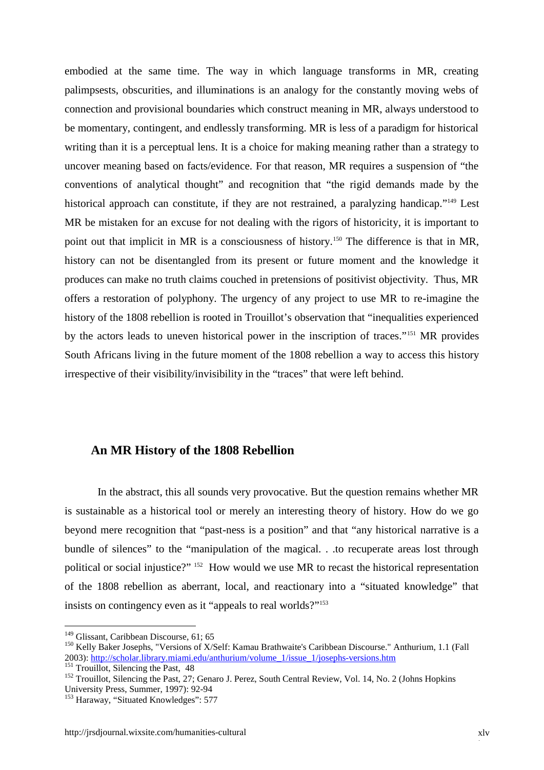embodied at the same time. The way in which language transforms in MR, creating palimpsests, obscurities, and illuminations is an analogy for the constantly moving webs of connection and provisional boundaries which construct meaning in MR, always understood to be momentary, contingent, and endlessly transforming. MR is less of a paradigm for historical writing than it is a perceptual lens. It is a choice for making meaning rather than a strategy to uncover meaning based on facts/evidence. For that reason, MR requires a suspension of "the conventions of analytical thought" and recognition that "the rigid demands made by the historical approach can constitute, if they are not restrained, a paralyzing handicap."<sup>149</sup> Lest MR be mistaken for an excuse for not dealing with the rigors of historicity, it is important to point out that implicit in MR is a consciousness of history.<sup>150</sup> The difference is that in MR, history can not be disentangled from its present or future moment and the knowledge it produces can make no truth claims couched in pretensions of positivist objectivity. Thus, MR offers a restoration of polyphony. The urgency of any project to use MR to re-imagine the history of the 1808 rebellion is rooted in Trouillot's observation that "inequalities experienced by the actors leads to uneven historical power in the inscription of traces."<sup>151</sup> MR provides South Africans living in the future moment of the 1808 rebellion a way to access this history irrespective of their visibility/invisibility in the "traces" that were left behind.

#### **An MR History of the 1808 Rebellion**

In the abstract, this all sounds very provocative. But the question remains whether MR is sustainable as a historical tool or merely an interesting theory of history. How do we go beyond mere recognition that "past-ness is a position" and that "any historical narrative is a bundle of silences" to the "manipulation of the magical. . .to recuperate areas lost through political or social injustice?" <sup>152</sup> How would we use MR to recast the historical representation of the 1808 rebellion as aberrant, local, and reactionary into a "situated knowledge" that insists on contingency even as it "appeals to real worlds?"<sup>153</sup>

<sup>&</sup>lt;sup>149</sup> Glissant, Caribbean Discourse, 61; 65

<sup>150</sup> Kelly Baker Josephs, "Versions of X/Self: Kamau Brathwaite's Caribbean Discourse." Anthurium, 1.1 (Fall 2003): http://scholar.library.miami.edu/anthurium/volume\_1/issue\_1/josephs-versions.htm

 $151$  Trouillot, Silencing the Past, 48

<sup>&</sup>lt;sup>152</sup> Trouillot, Silencing the Past, 27; Genaro J. Perez, South Central Review, Vol. 14, No. 2 (Johns Hopkins University Press, Summer, 1997): 92-94

<sup>&</sup>lt;sup>153</sup> Haraway, "Situated Knowledges": 577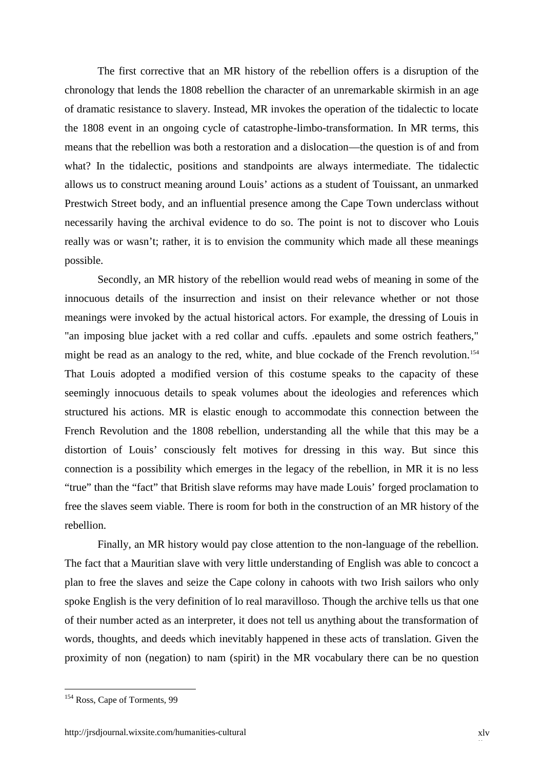The first corrective that an MR history of the rebellion offers is a disruption of the chronology that lends the 1808 rebellion the character of an unremarkable skirmish in an age of dramatic resistance to slavery. Instead, MR invokes the operation of the tidalectic to locate the 1808 event in an ongoing cycle of catastrophe-limbo-transformation. In MR terms, this means that the rebellion was both a restoration and a dislocation—the question is of and from what? In the tidalectic, positions and standpoints are always intermediate. The tidalectic allows us to construct meaning around Louis' actions as a student of Touissant, an unmarked Prestwich Street body, and an influential presence among the Cape Town underclass without necessarily having the archival evidence to do so. The point is not to discover who Louis really was or wasn't; rather, it is to envision the community which made all these meanings possible.

Secondly, an MR history of the rebellion would read webs of meaning in some of the innocuous details of the insurrection and insist on their relevance whether or not those meanings were invoked by the actual historical actors. For example, the dressing of Louis in "an imposing blue jacket with a red collar and cuffs. .epaulets and some ostrich feathers," might be read as an analogy to the red, white, and blue cockade of the French revolution.<sup>154</sup> That Louis adopted a modified version of this costume speaks to the capacity of these seemingly innocuous details to speak volumes about the ideologies and references which structured his actions. MR is elastic enough to accommodate this connection between the French Revolution and the 1808 rebellion, understanding all the while that this may be a distortion of Louis' consciously felt motives for dressing in this way. But since this connection is a possibility which emerges in the legacy of the rebellion, in MR it is no less "true" than the "fact" that British slave reforms may have made Louis' forged proclamation to free the slaves seem viable. There is room for both in the construction of an MR history of the rebellion.

Finally, an MR history would pay close attention to the non-language of the rebellion. The fact that a Mauritian slave with very little understanding of English was able to concoct a plan to free the slaves and seize the Cape colony in cahoots with two Irish sailors who only spoke English is the very definition of lo real maravilloso. Though the archive tells us that one of their number acted as an interpreter, it does not tell us anything about the transformation of words, thoughts, and deeds which inevitably happened in these acts of translation. Given the proximity of non (negation) to nam (spirit) in the MR vocabulary there can be no question

<sup>&</sup>lt;sup>154</sup> Ross, Cape of Torments, 99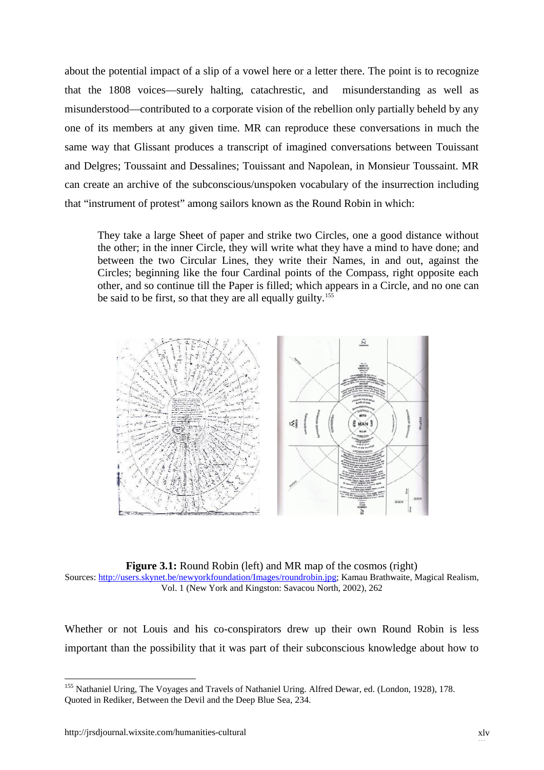about the potential impact of a slip of a vowel here or a letter there. The point is to recognize that the 1808 voices—surely halting, catachrestic, and misunderstanding as well as misunderstood—contributed to a corporate vision of the rebellion only partially beheld by any one of its members at any given time. MR can reproduce these conversations in much the same way that Glissant produces a transcript of imagined conversations between Touissant and Delgres; Toussaint and Dessalines; Touissant and Napolean, in Monsieur Toussaint. MR can create an archive of the subconscious/unspoken vocabulary of the insurrection including that "instrument of protest" among sailors known as the Round Robin in which: that the 1808 voices—surely halting, catachrestic, and misunderstanding as well as<br>misunderstood—contributed to a corporate vision of the rebellion only partially beheld by any<br>one of its members at any given time. MR can

They take a large Sheet of paper and strike two Circles, one a good distance without the other; in the inner Circle, they will write what they have a mind to have done; and between the two Circular Lines, they write their Names, in and out, against the Circles; beginning like the four Cardinal points of the Compass, right opposite each other, and so continue till the Paper is filled; which appears in a Circle, and no one can be said to be first, so that they are all equally guilty.<sup>155</sup> the other; in the inner Circle, they will write what they have a mind to have done; between the two Circular Lines, they write their Names, in and out, against Circles; beginning like the four Cardinal points of the Compas



**Figure 3.1:** Round Robin (left) and MR map of the cosmos (right) Sources: http://users.skynet.be/newyorkfoundation/Images/roundrobin.jpg; Kamau Brathwaite, Magical Realism,<br>Vol. 1 (New York and Kingston: Savacou North, 2002), 262 Vol. 1 (New York and Kingston: Savacou North, 2002), 262

Whether or not Louis and his co-conspirators drew up their own Round Robin is less Whether or not Louis and his co-conspirators drew up their own Round Robin is less important than the possibility that it was part of their subconscious knowledge about how to

<sup>&</sup>lt;sup>155</sup> Nathaniel Uring, The Voyages and Travels of Nathaniel Uring. Alfred Dewar, ed. (London, 1928), 178. Quoted in Rediker, Between the Devil and the Deep Blue Sea, 234. ity that it was part of their s<br>
—<br>
s and Travels of Nathaniel Uring.<br>
Devil and the Deep Blue Sea, 234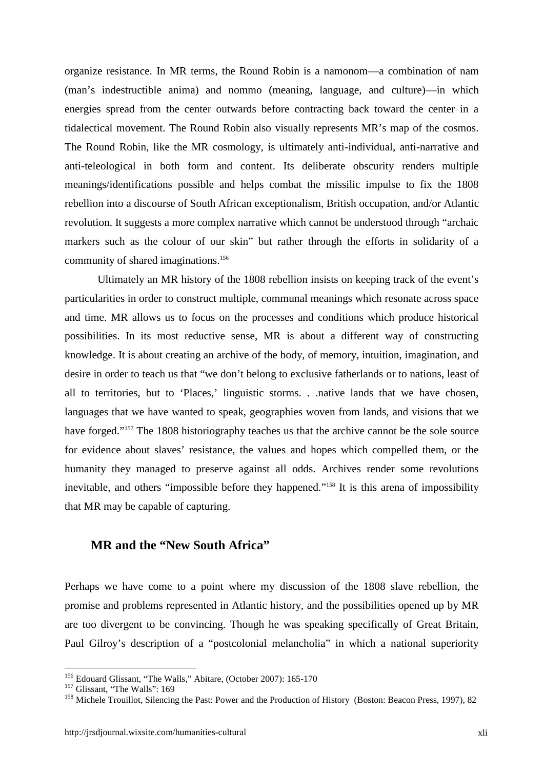organize resistance. In MR terms, the Round Robin is a namonom—a combination of nam (man's indestructible anima) and nommo (meaning, language, and culture)—in which energies spread from the center outwards before contracting back toward the center in a tidalectical movement. The Round Robin also visually represents MR's map of the cosmos. The Round Robin, like the MR cosmology, is ultimately anti-individual, anti-narrative and anti-teleological in both form and content. Its deliberate obscurity renders multiple meanings/identifications possible and helps combat the missilic impulse to fix the 1808 rebellion into a discourse of South African exceptionalism, British occupation, and/or Atlantic revolution. It suggests a more complex narrative which cannot be understood through "archaic markers such as the colour of our skin" but rather through the efforts in solidarity of a community of shared imaginations.<sup>156</sup>

Ultimately an MR history of the 1808 rebellion insists on keeping track of the event's particularities in order to construct multiple, communal meanings which resonate across space and time. MR allows us to focus on the processes and conditions which produce historical possibilities. In its most reductive sense, MR is about a different way of constructing knowledge. It is about creating an archive of the body, of memory, intuition, imagination, and desire in order to teach us that "we don't belong to exclusive fatherlands or to nations, least of all to territories, but to 'Places,' linguistic storms. . .native lands that we have chosen, languages that we have wanted to speak, geographies woven from lands, and visions that we have forged."<sup>157</sup> The 1808 historiography teaches us that the archive cannot be the sole source for evidence about slaves' resistance, the values and hopes which compelled them, or the humanity they managed to preserve against all odds. Archives render some revolutions inevitable, and others "impossible before they happened."<sup>158</sup> It is this arena of impossibility that MR may be capable of capturing.

#### **MR and the "New South Africa"**

Perhaps we have come to a point where my discussion of the 1808 slave rebellion, the promise and problems represented in Atlantic history, and the possibilities opened up by MR are too divergent to be convincing. Though he was speaking specifically of Great Britain, Paul Gilroy's description of a "postcolonial melancholia" in which a national superiority

<sup>156</sup> Edouard Glissant, "The Walls," Abitare, (October 2007): 165-170

<sup>&</sup>lt;sup>157</sup> Glissant, "The Walls": 169

<sup>&</sup>lt;sup>158</sup> Michele Trouillot, Silencing the Past: Power and the Production of History (Boston: Beacon Press, 1997), 82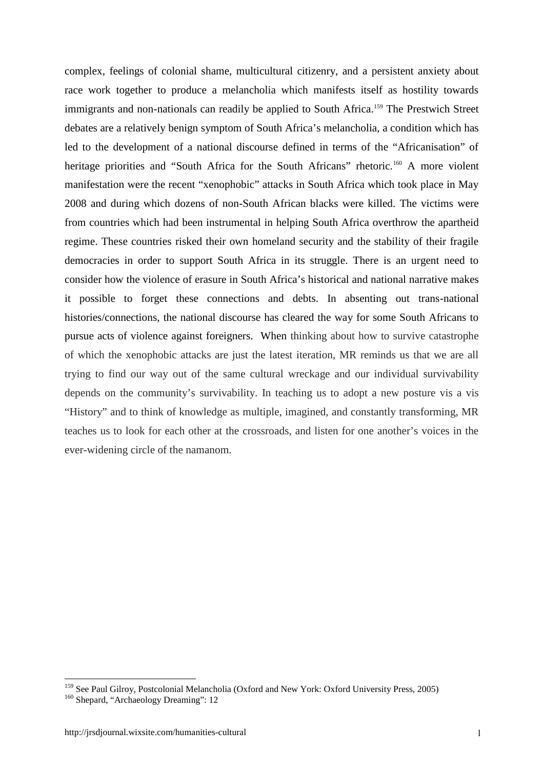complex, feelings of colonial shame, multicultural citizenry, and a persistent anxiety about race work together to produce a melancholia which manifests itself as hostility towards immigrants and non-nationals can readily be applied to South Africa.<sup>159</sup> The Prestwich Street debates are a relatively benign symptom of South Africa's melancholia, a condition which has led to the development of a national discourse defined in terms of the "Africanisation" of heritage priorities and "South Africa for the South Africans" rhetoric.<sup>160</sup> A more violent manifestation were the recent "xenophobic" attacks in South Africa which took place in May 2008 and during which dozens of non-South African blacks were killed. The victims were from countries which had been instrumental in helping South Africa overthrow the apartheid regime. These countries risked their own homeland security and the stability of their fragile democracies in order to support South Africa in its struggle. There is an urgent need to consider how the violence of erasure in South Africa's historical and national narrative makes it possible to forget these connections and debts. In absenting out trans-national histories/connections, the national discourse has cleared the way for some South Africans to pursue acts of violence against foreigners. When thinking about how to survive catastrophe of which the xenophobic attacks are just the latest iteration, MR reminds us that we are all trying to find our way out of the same cultural wreckage and our individual survivability depends on the community's survivability. In teaching us to adopt a new posture vis a vis "History" and to think of knowledge as multiple, imagined, and constantly transforming, MR teaches us to look for each other at the crossroads, and listen for one another's voices in the ever-widening circle of the namanom.

<sup>&</sup>lt;sup>159</sup> See Paul Gilroy, Postcolonial Melancholia (Oxford and New York: Oxford University Press, 2005)

<sup>&</sup>lt;sup>160</sup> Shepard, "Archaeology Dreaming": 12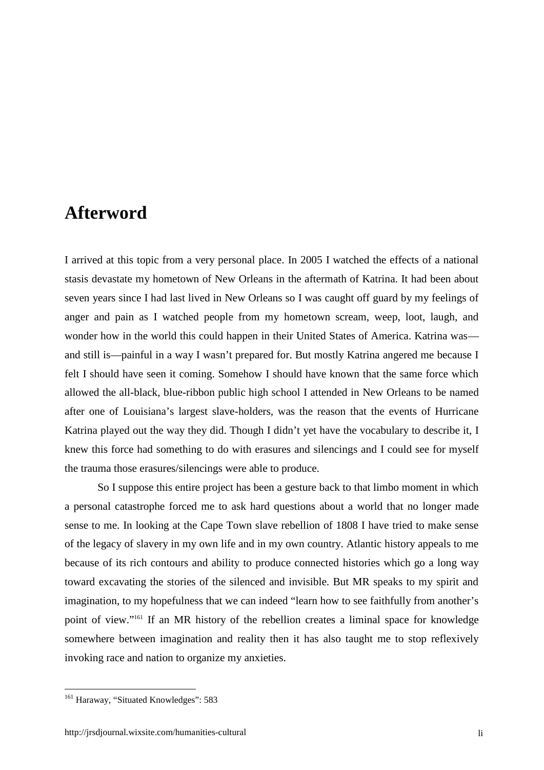## **Afterword**

I arrived at this topic from a very personal place. In 2005 I watched the effects of a national stasis devastate my hometown of New Orleans in the aftermath of Katrina. It had been about seven years since I had last lived in New Orleans so I was caught off guard by my feelings of anger and pain as I watched people from my hometown scream, weep, loot, laugh, and wonder how in the world this could happen in their United States of America. Katrina was and still is—painful in a way I wasn't prepared for. But mostly Katrina angered me because I felt I should have seen it coming. Somehow I should have known that the same force which allowed the all-black, blue-ribbon public high school I attended in New Orleans to be named after one of Louisiana's largest slave-holders, was the reason that the events of Hurricane Katrina played out the way they did. Though I didn't yet have the vocabulary to describe it, I knew this force had something to do with erasures and silencings and I could see for myself the trauma those erasures/silencings were able to produce.

So I suppose this entire project has been a gesture back to that limbo moment in which a personal catastrophe forced me to ask hard questions about a world that no longer made sense to me. In looking at the Cape Town slave rebellion of 1808 I have tried to make sense of the legacy of slavery in my own life and in my own country. Atlantic history appeals to me because of its rich contours and ability to produce connected histories which go a long way toward excavating the stories of the silenced and invisible. But MR speaks to my spirit and imagination, to my hopefulness that we can indeed "learn how to see faithfully from another's point of view."<sup>161</sup> If an MR history of the rebellion creates a liminal space for knowledge somewhere between imagination and reality then it has also taught me to stop reflexively invoking race and nation to organize my anxieties.

<sup>&</sup>lt;sup>161</sup> Haraway, "Situated Knowledges": 583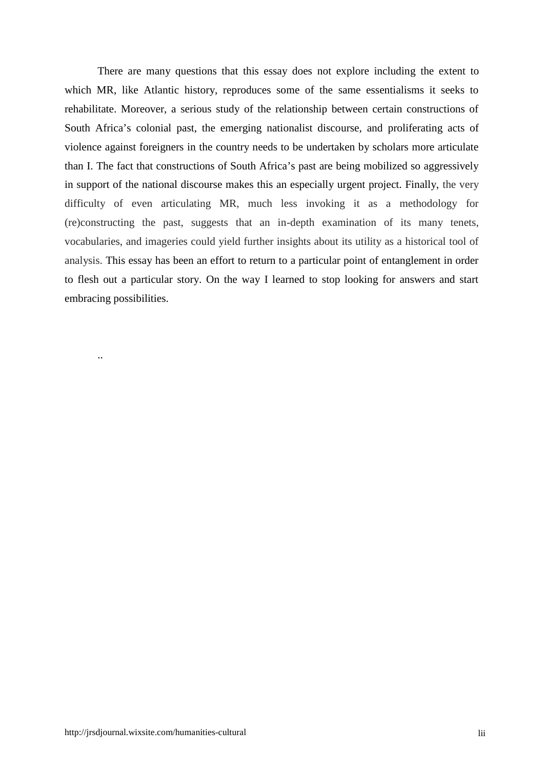There are many questions that this essay does not explore including the extent to which MR, like Atlantic history, reproduces some of the same essentialisms it seeks to rehabilitate. Moreover, a serious study of the relationship between certain constructions of South Africa's colonial past, the emerging nationalist discourse, and proliferating acts of violence against foreigners in the country needs to be undertaken by scholars more articulate than I. The fact that constructions of South Africa's past are being mobilized so aggressively in support of the national discourse makes this an especially urgent project. Finally, the very difficulty of even articulating MR, much less invoking it as a methodology for (re)constructing the past, suggests that an in-depth examination of its many tenets, vocabularies, and imageries could yield further insights about its utility as a historical tool of analysis. This essay has been an effort to return to a particular point of entanglement in order to flesh out a particular story. On the way I learned to stop looking for answers and start embracing possibilities.

..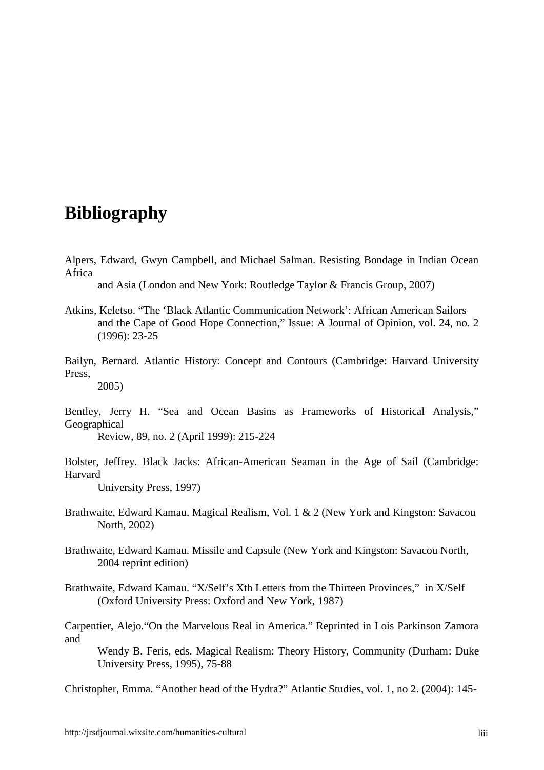## **Bibliography**

Alpers, Edward, Gwyn Campbell, and Michael Salman. Resisting Bondage in Indian Ocean Africa

and Asia (London and New York: Routledge Taylor & Francis Group, 2007)

- Atkins, Keletso. "The 'Black Atlantic Communication Network': African American Sailors and the Cape of Good Hope Connection," Issue: A Journal of Opinion, vol. 24, no. 2 (1996): 23-25
- Bailyn, Bernard. Atlantic History: Concept and Contours (Cambridge: Harvard University Press,

2005)

Bentley, Jerry H. "Sea and Ocean Basins as Frameworks of Historical Analysis," Geographical

Review, 89, no. 2 (April 1999): 215-224

Bolster, Jeffrey. Black Jacks: African-American Seaman in the Age of Sail (Cambridge: Harvard

University Press, 1997)

- Brathwaite, Edward Kamau. Magical Realism, Vol. 1 & 2 (New York and Kingston: Savacou North, 2002)
- Brathwaite, Edward Kamau. Missile and Capsule (New York and Kingston: Savacou North, 2004 reprint edition)
- Brathwaite, Edward Kamau. "X/Self's Xth Letters from the Thirteen Provinces," in X/Self (Oxford University Press: Oxford and New York, 1987)

Carpentier, Alejo."On the Marvelous Real in America." Reprinted in Lois Parkinson Zamora and

Wendy B. Feris, eds. Magical Realism: Theory History, Community (Durham: Duke University Press, 1995), 75-88

Christopher, Emma. "Another head of the Hydra?" Atlantic Studies, vol. 1, no 2. (2004): 145-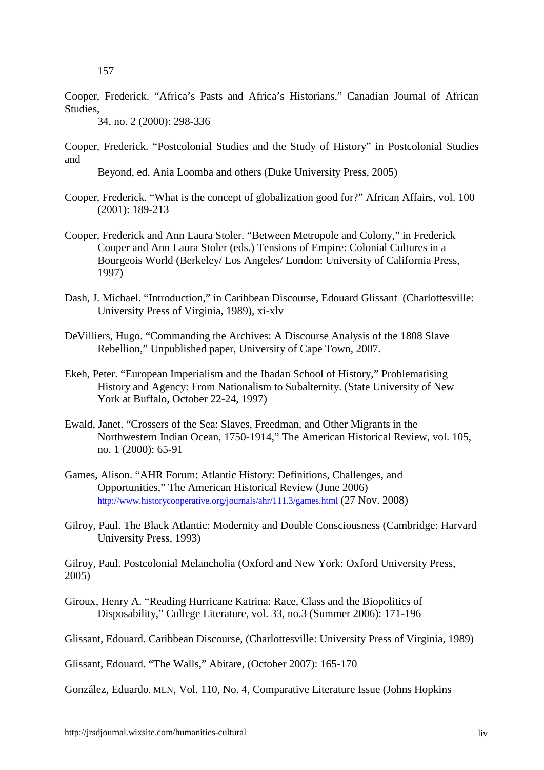Cooper, Frederick. "Africa's Pasts and Africa's Historians," Canadian Journal of African Studies,

34, no. 2 (2000): 298-336

Cooper, Frederick. "Postcolonial Studies and the Study of History" in Postcolonial Studies and

Beyond, ed. Ania Loomba and others (Duke University Press, 2005)

- Cooper, Frederick. "What is the concept of globalization good for?" African Affairs, vol. 100 (2001): 189-213
- Cooper, Frederick and Ann Laura Stoler. "Between Metropole and Colony," in Frederick Cooper and Ann Laura Stoler (eds.) Tensions of Empire: Colonial Cultures in a Bourgeois World (Berkeley/ Los Angeles/ London: University of California Press, 1997)
- Dash, J. Michael. "Introduction," in Caribbean Discourse, Edouard Glissant (Charlottesville: University Press of Virginia, 1989), xi-xlv
- DeVilliers, Hugo. "Commanding the Archives: A Discourse Analysis of the 1808 Slave Rebellion," Unpublished paper, University of Cape Town, 2007.
- Ekeh, Peter. "European Imperialism and the Ibadan School of History," Problematising History and Agency: From Nationalism to Subalternity. (State University of New York at Buffalo, October 22-24, 1997)
- Ewald, Janet. "Crossers of the Sea: Slaves, Freedman, and Other Migrants in the Northwestern Indian Ocean, 1750-1914," The American Historical Review, vol. 105, no. 1 (2000): 65-91
- Games, Alison. "AHR Forum: Atlantic History: Definitions, Challenges, and Opportunities," The American Historical Review (June 2006) http://www.historycooperative.org/journals/ahr/111.3/games.html (27 Nov. 2008)
- Gilroy, Paul. The Black Atlantic: Modernity and Double Consciousness (Cambridge: Harvard University Press, 1993)

Gilroy, Paul. Postcolonial Melancholia (Oxford and New York: Oxford University Press, 2005)

Giroux, Henry A. "Reading Hurricane Katrina: Race, Class and the Biopolitics of Disposability," College Literature, vol. 33, no.3 (Summer 2006): 171-196

Glissant, Edouard. Caribbean Discourse, (Charlottesville: University Press of Virginia, 1989)

Glissant, Edouard. "The Walls," Abitare, (October 2007): 165-170

González, Eduardo. MLN, Vol. 110, No. 4, Comparative Literature Issue (Johns Hopkins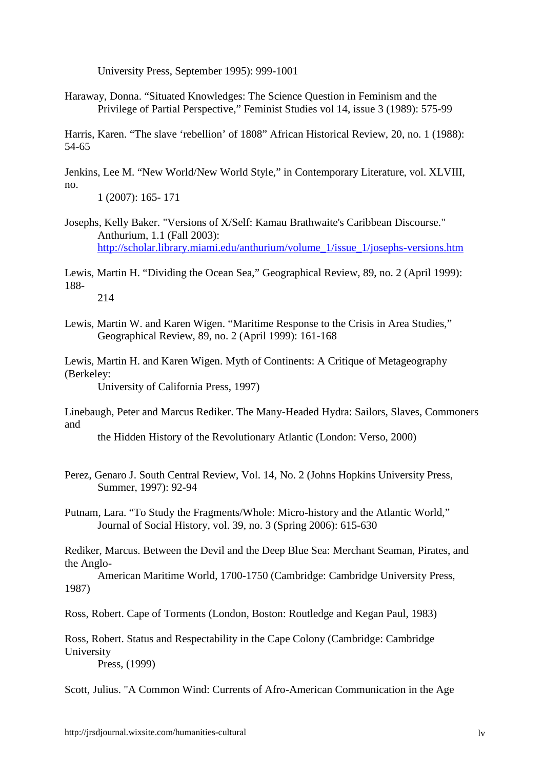University Press, September 1995): 999-1001

Haraway, Donna. "Situated Knowledges: The Science Question in Feminism and the Privilege of Partial Perspective," Feminist Studies vol 14, issue 3 (1989): 575-99

Harris, Karen. "The slave 'rebellion' of 1808" African Historical Review, 20, no. 1 (1988): 54-65

Jenkins, Lee M. "New World/New World Style," in Contemporary Literature, vol. XLVIII, no.

1 (2007): 165- 171

Josephs, Kelly Baker. "Versions of X/Self: Kamau Brathwaite's Caribbean Discourse." Anthurium, 1.1 (Fall 2003): http://scholar.library.miami.edu/anthurium/volume\_1/issue\_1/josephs-versions.htm

Lewis, Martin H. "Dividing the Ocean Sea," Geographical Review, 89, no. 2 (April 1999): 188- 214

Lewis, Martin W. and Karen Wigen. "Maritime Response to the Crisis in Area Studies," Geographical Review, 89, no. 2 (April 1999): 161-168

Lewis, Martin H. and Karen Wigen. Myth of Continents: A Critique of Metageography (Berkeley:

University of California Press, 1997)

Linebaugh, Peter and Marcus Rediker. The Many-Headed Hydra: Sailors, Slaves, Commoners and

the Hidden History of the Revolutionary Atlantic (London: Verso, 2000)

- Perez, Genaro J. South Central Review, Vol. 14, No. 2 (Johns Hopkins University Press, Summer, 1997): 92-94
- Putnam, Lara. "To Study the Fragments/Whole: Micro-history and the Atlantic World," Journal of Social History, vol. 39, no. 3 (Spring 2006): 615-630

Rediker, Marcus. Between the Devil and the Deep Blue Sea: Merchant Seaman, Pirates, and the Anglo-

American Maritime World, 1700-1750 (Cambridge: Cambridge University Press, 1987)

Ross, Robert. Cape of Torments (London, Boston: Routledge and Kegan Paul, 1983)

Ross, Robert. Status and Respectability in the Cape Colony (Cambridge: Cambridge University Press, (1999)

Scott, Julius. "A Common Wind: Currents of Afro-American Communication in the Age